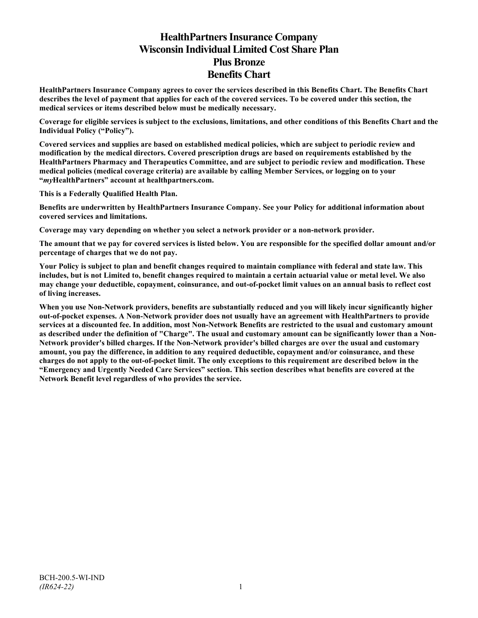# **HealthPartners Insurance Company Wisconsin Individual Limited Cost Share Plan Plus Bronze Benefits Chart**

**HealthPartners Insurance Company agrees to cover the services described in this Benefits Chart. The Benefits Chart describes the level of payment that applies for each of the covered services. To be covered under this section, the medical services or items described below must be medically necessary.**

**Coverage for eligible services is subject to the exclusions, limitations, and other conditions of this Benefits Chart and the Individual Policy ("Policy").**

**Covered services and supplies are based on established medical policies, which are subject to periodic review and modification by the medical directors. Covered prescription drugs are based on requirements established by the HealthPartners Pharmacy and Therapeutics Committee, and are subject to periodic review and modification. These medical policies (medical coverage criteria) are available by calling Member Services, or logging on to your "***my***HealthPartners" account at [healthpartners.com.](http://www.healthpartners.com/)**

**This is a Federally Qualified Health Plan.**

**Benefits are underwritten by HealthPartners Insurance Company. See your Policy for additional information about covered services and limitations.**

**Coverage may vary depending on whether you select a network provider or a non-network provider.**

**The amount that we pay for covered services is listed below. You are responsible for the specified dollar amount and/or percentage of charges that we do not pay.**

**Your Policy is subject to plan and benefit changes required to maintain compliance with federal and state law. This includes, but is not Limited to, benefit changes required to maintain a certain actuarial value or metal level. We also may change your deductible, copayment, coinsurance, and out-of-pocket limit values on an annual basis to reflect cost of living increases.**

**When you use Non-Network providers, benefits are substantially reduced and you will likely incur significantly higher out-of-pocket expenses. A Non-Network provider does not usually have an agreement with HealthPartners to provide services at a discounted fee. In addition, most Non-Network Benefits are restricted to the usual and customary amount as described under the definition of "Charge". The usual and customary amount can be significantly lower than a Non-Network provider's billed charges. If the Non-Network provider's billed charges are over the usual and customary amount, you pay the difference, in addition to any required deductible, copayment and/or coinsurance, and these charges do not apply to the out-of-pocket limit. The only exceptions to this requirement are described below in the "Emergency and Urgently Needed Care Services" section. This section describes what benefits are covered at the Network Benefit level regardless of who provides the service.**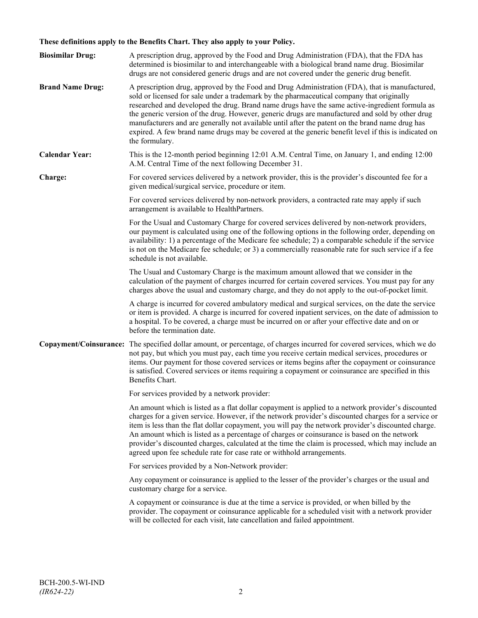# **These definitions apply to the Benefits Chart. They also apply to your Policy.**

| <b>Biosimilar Drug:</b> | A prescription drug, approved by the Food and Drug Administration (FDA), that the FDA has<br>determined is biosimilar to and interchangeable with a biological brand name drug. Biosimilar<br>drugs are not considered generic drugs and are not covered under the generic drug benefit.                                                                                                                                                                                                                                                                                                                                     |
|-------------------------|------------------------------------------------------------------------------------------------------------------------------------------------------------------------------------------------------------------------------------------------------------------------------------------------------------------------------------------------------------------------------------------------------------------------------------------------------------------------------------------------------------------------------------------------------------------------------------------------------------------------------|
| <b>Brand Name Drug:</b> | A prescription drug, approved by the Food and Drug Administration (FDA), that is manufactured,<br>sold or licensed for sale under a trademark by the pharmaceutical company that originally<br>researched and developed the drug. Brand name drugs have the same active-ingredient formula as<br>the generic version of the drug. However, generic drugs are manufactured and sold by other drug<br>manufacturers and are generally not available until after the patent on the brand name drug has<br>expired. A few brand name drugs may be covered at the generic benefit level if this is indicated on<br>the formulary. |
| <b>Calendar Year:</b>   | This is the 12-month period beginning 12:01 A.M. Central Time, on January 1, and ending 12:00<br>A.M. Central Time of the next following December 31.                                                                                                                                                                                                                                                                                                                                                                                                                                                                        |
| Charge:                 | For covered services delivered by a network provider, this is the provider's discounted fee for a<br>given medical/surgical service, procedure or item.                                                                                                                                                                                                                                                                                                                                                                                                                                                                      |
|                         | For covered services delivered by non-network providers, a contracted rate may apply if such<br>arrangement is available to HealthPartners.                                                                                                                                                                                                                                                                                                                                                                                                                                                                                  |
|                         | For the Usual and Customary Charge for covered services delivered by non-network providers,<br>our payment is calculated using one of the following options in the following order, depending on<br>availability: 1) a percentage of the Medicare fee schedule; 2) a comparable schedule if the service<br>is not on the Medicare fee schedule; or 3) a commercially reasonable rate for such service if a fee<br>schedule is not available.                                                                                                                                                                                 |
|                         | The Usual and Customary Charge is the maximum amount allowed that we consider in the<br>calculation of the payment of charges incurred for certain covered services. You must pay for any<br>charges above the usual and customary charge, and they do not apply to the out-of-pocket limit.                                                                                                                                                                                                                                                                                                                                 |
|                         | A charge is incurred for covered ambulatory medical and surgical services, on the date the service<br>or item is provided. A charge is incurred for covered inpatient services, on the date of admission to<br>a hospital. To be covered, a charge must be incurred on or after your effective date and on or<br>before the termination date.                                                                                                                                                                                                                                                                                |
|                         | Copayment/Coinsurance: The specified dollar amount, or percentage, of charges incurred for covered services, which we do<br>not pay, but which you must pay, each time you receive certain medical services, procedures or<br>items. Our payment for those covered services or items begins after the copayment or coinsurance<br>is satisfied. Covered services or items requiring a copayment or coinsurance are specified in this<br>Benefits Chart.                                                                                                                                                                      |
|                         | For services provided by a network provider:                                                                                                                                                                                                                                                                                                                                                                                                                                                                                                                                                                                 |
|                         | An amount which is listed as a flat dollar copayment is applied to a network provider's discounted<br>charges for a given service. However, if the network provider's discounted charges for a service or<br>item is less than the flat dollar copayment, you will pay the network provider's discounted charge.<br>An amount which is listed as a percentage of charges or coinsurance is based on the network<br>provider's discounted charges, calculated at the time the claim is processed, which may include an<br>agreed upon fee schedule rate for case rate or withhold arrangements.                               |
|                         | For services provided by a Non-Network provider:                                                                                                                                                                                                                                                                                                                                                                                                                                                                                                                                                                             |
|                         | Any copayment or coinsurance is applied to the lesser of the provider's charges or the usual and<br>customary charge for a service.                                                                                                                                                                                                                                                                                                                                                                                                                                                                                          |
|                         | A copayment or coinsurance is due at the time a service is provided, or when billed by the<br>provider. The copayment or coinsurance applicable for a scheduled visit with a network provider<br>will be collected for each visit, late cancellation and failed appointment.                                                                                                                                                                                                                                                                                                                                                 |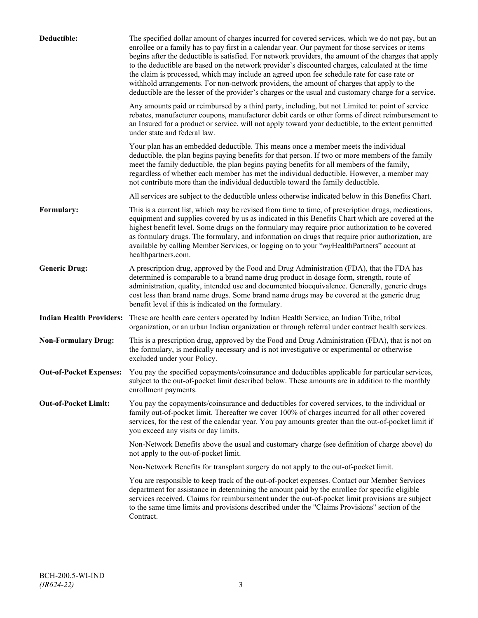| Deductible:                     | The specified dollar amount of charges incurred for covered services, which we do not pay, but an<br>enrollee or a family has to pay first in a calendar year. Our payment for those services or items<br>begins after the deductible is satisfied. For network providers, the amount of the charges that apply<br>to the deductible are based on the network provider's discounted charges, calculated at the time<br>the claim is processed, which may include an agreed upon fee schedule rate for case rate or<br>withhold arrangements. For non-network providers, the amount of charges that apply to the<br>deductible are the lesser of the provider's charges or the usual and customary charge for a service. |
|---------------------------------|-------------------------------------------------------------------------------------------------------------------------------------------------------------------------------------------------------------------------------------------------------------------------------------------------------------------------------------------------------------------------------------------------------------------------------------------------------------------------------------------------------------------------------------------------------------------------------------------------------------------------------------------------------------------------------------------------------------------------|
|                                 | Any amounts paid or reimbursed by a third party, including, but not Limited to: point of service<br>rebates, manufacturer coupons, manufacturer debit cards or other forms of direct reimbursement to<br>an Insured for a product or service, will not apply toward your deductible, to the extent permitted<br>under state and federal law.                                                                                                                                                                                                                                                                                                                                                                            |
|                                 | Your plan has an embedded deductible. This means once a member meets the individual<br>deductible, the plan begins paying benefits for that person. If two or more members of the family<br>meet the family deductible, the plan begins paying benefits for all members of the family,<br>regardless of whether each member has met the individual deductible. However, a member may<br>not contribute more than the individual deductible toward the family deductible.                                                                                                                                                                                                                                                |
|                                 | All services are subject to the deductible unless otherwise indicated below in this Benefits Chart.                                                                                                                                                                                                                                                                                                                                                                                                                                                                                                                                                                                                                     |
| Formulary:                      | This is a current list, which may be revised from time to time, of prescription drugs, medications,<br>equipment and supplies covered by us as indicated in this Benefits Chart which are covered at the<br>highest benefit level. Some drugs on the formulary may require prior authorization to be covered<br>as formulary drugs. The formulary, and information on drugs that require prior authorization, are<br>available by calling Member Services, or logging on to your "myHealthPartners" account at<br>healthpartners.com.                                                                                                                                                                                   |
| <b>Generic Drug:</b>            | A prescription drug, approved by the Food and Drug Administration (FDA), that the FDA has<br>determined is comparable to a brand name drug product in dosage form, strength, route of<br>administration, quality, intended use and documented bioequivalence. Generally, generic drugs<br>cost less than brand name drugs. Some brand name drugs may be covered at the generic drug<br>benefit level if this is indicated on the formulary.                                                                                                                                                                                                                                                                             |
| <b>Indian Health Providers:</b> | These are health care centers operated by Indian Health Service, an Indian Tribe, tribal<br>organization, or an urban Indian organization or through referral under contract health services.                                                                                                                                                                                                                                                                                                                                                                                                                                                                                                                           |
| <b>Non-Formulary Drug:</b>      | This is a prescription drug, approved by the Food and Drug Administration (FDA), that is not on<br>the formulary, is medically necessary and is not investigative or experimental or otherwise<br>excluded under your Policy.                                                                                                                                                                                                                                                                                                                                                                                                                                                                                           |
| <b>Out-of-Pocket Expenses:</b>  | You pay the specified copayments/coinsurance and deductibles applicable for particular services,<br>subject to the out-of-pocket limit described below. These amounts are in addition to the monthly<br>enrollment payments.                                                                                                                                                                                                                                                                                                                                                                                                                                                                                            |
| <b>Out-of-Pocket Limit:</b>     | You pay the copayments/coinsurance and deductibles for covered services, to the individual or<br>family out-of-pocket limit. Thereafter we cover 100% of charges incurred for all other covered<br>services, for the rest of the calendar year. You pay amounts greater than the out-of-pocket limit if<br>you exceed any visits or day limits.                                                                                                                                                                                                                                                                                                                                                                         |
|                                 | Non-Network Benefits above the usual and customary charge (see definition of charge above) do<br>not apply to the out-of-pocket limit.                                                                                                                                                                                                                                                                                                                                                                                                                                                                                                                                                                                  |
|                                 | Non-Network Benefits for transplant surgery do not apply to the out-of-pocket limit.                                                                                                                                                                                                                                                                                                                                                                                                                                                                                                                                                                                                                                    |
|                                 | You are responsible to keep track of the out-of-pocket expenses. Contact our Member Services<br>department for assistance in determining the amount paid by the enrollee for specific eligible<br>services received. Claims for reimbursement under the out-of-pocket limit provisions are subject<br>to the same time limits and provisions described under the "Claims Provisions" section of the<br>Contract.                                                                                                                                                                                                                                                                                                        |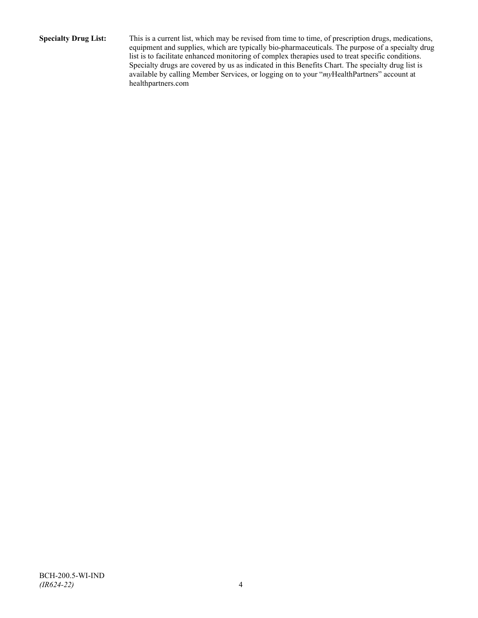**Specialty Drug List:** This is a current list, which may be revised from time to time, of prescription drugs, medications, equipment and supplies, which are typically bio-pharmaceuticals. The purpose of a specialty drug list is to facilitate enhanced monitoring of complex therapies used to treat specific conditions. Specialty drugs are covered by us as indicated in this Benefits Chart. The specialty drug list is available by calling Member Services, or logging on to your "*my*HealthPartners" account at [healthpartners.com](http://www.healthpartners.com/)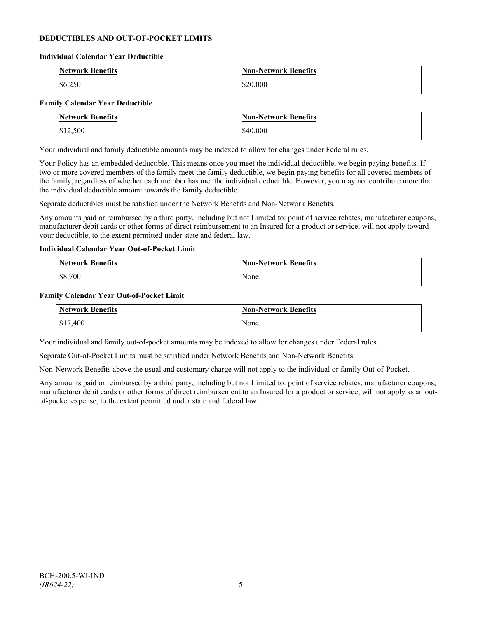# **DEDUCTIBLES AND OUT-OF-POCKET LIMITS**

#### **Individual Calendar Year Deductible**

| <b>Network Benefits</b> | <b>Non-Network Benefits</b> |
|-------------------------|-----------------------------|
| \$6,250                 | \$20,000                    |

## **Family Calendar Year Deductible**

| <b>Network Benefits</b> | <b>Non-Network Benefits</b> |
|-------------------------|-----------------------------|
| \$12,500                | \$40,000                    |

Your individual and family deductible amounts may be indexed to allow for changes under Federal rules.

Your Policy has an embedded deductible. This means once you meet the individual deductible, we begin paying benefits. If two or more covered members of the family meet the family deductible, we begin paying benefits for all covered members of the family, regardless of whether each member has met the individual deductible. However, you may not contribute more than the individual deductible amount towards the family deductible.

Separate deductibles must be satisfied under the Network Benefits and Non-Network Benefits.

Any amounts paid or reimbursed by a third party, including but not Limited to: point of service rebates, manufacturer coupons, manufacturer debit cards or other forms of direct reimbursement to an Insured for a product or service, will not apply toward your deductible, to the extent permitted under state and federal law.

## **Individual Calendar Year Out-of-Pocket Limit**

| Network Benefits | <b>Non-Network Benefits</b> |
|------------------|-----------------------------|
| \$8,700          | None.                       |

#### **Family Calendar Year Out-of-Pocket Limit**

| Network Benefits | Non-Network Benefits |
|------------------|----------------------|
| \$17,400         | None.                |

Your individual and family out-of-pocket amounts may be indexed to allow for changes under Federal rules.

Separate Out-of-Pocket Limits must be satisfied under Network Benefits and Non-Network Benefits.

Non-Network Benefits above the usual and customary charge will not apply to the individual or family Out-of-Pocket.

Any amounts paid or reimbursed by a third party, including but not Limited to: point of service rebates, manufacturer coupons, manufacturer debit cards or other forms of direct reimbursement to an Insured for a product or service, will not apply as an outof-pocket expense, to the extent permitted under state and federal law.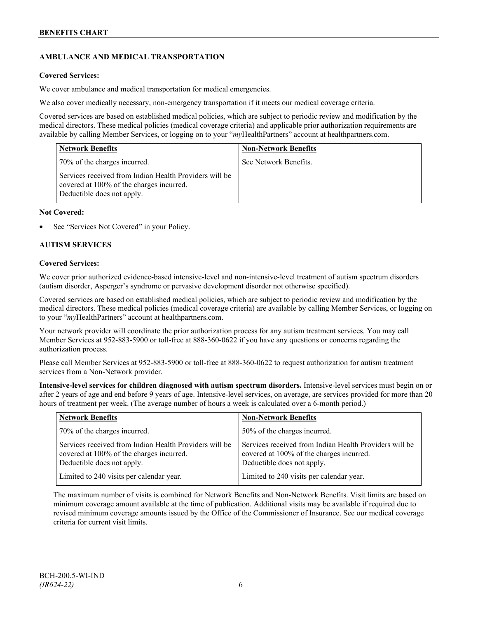# **AMBULANCE AND MEDICAL TRANSPORTATION**

# **Covered Services:**

We cover ambulance and medical transportation for medical emergencies.

We also cover medically necessary, non-emergency transportation if it meets our medical coverage criteria.

Covered services are based on established medical policies, which are subject to periodic review and modification by the medical directors. These medical policies (medical coverage criteria) and applicable prior authorization requirements are available by calling Member Services, or logging on to your "*my*HealthPartners" account a[t healthpartners.com.](http://www.healthpartners.com/)

| <b>Network Benefits</b>                                                                                                          | <b>Non-Network Benefits</b> |
|----------------------------------------------------------------------------------------------------------------------------------|-----------------------------|
| 70% of the charges incurred.                                                                                                     | See Network Benefits.       |
| Services received from Indian Health Providers will be<br>covered at 100% of the charges incurred.<br>Deductible does not apply. |                             |

## **Not Covered:**

See "Services Not Covered" in your Policy.

# **AUTISM SERVICES**

## **Covered Services:**

We cover prior authorized evidence-based intensive-level and non-intensive-level treatment of autism spectrum disorders (autism disorder, Asperger's syndrome or pervasive development disorder not otherwise specified).

Covered services are based on established medical policies, which are subject to periodic review and modification by the medical directors. These medical policies (medical coverage criteria) are available by calling Member Services, or logging on to your "*my*HealthPartners" account at [healthpartners.com.](http://www.healthpartners.com/)

Your network provider will coordinate the prior authorization process for any autism treatment services. You may call Member Services at 952-883-5900 or toll-free at 888-360-0622 if you have any questions or concerns regarding the authorization process.

Please call Member Services at 952-883-5900 or toll-free at 888-360-0622 to request authorization for autism treatment services from a Non-Network provider.

**Intensive-level services for children diagnosed with autism spectrum disorders.** Intensive-level services must begin on or after 2 years of age and end before 9 years of age. Intensive-level services, on average, are services provided for more than 20 hours of treatment per week. (The average number of hours a week is calculated over a 6-month period.)

| <b>Network Benefits</b>                                                                                                          | <b>Non-Network Benefits</b>                                                                                                      |
|----------------------------------------------------------------------------------------------------------------------------------|----------------------------------------------------------------------------------------------------------------------------------|
| 70% of the charges incurred.                                                                                                     | 50% of the charges incurred.                                                                                                     |
| Services received from Indian Health Providers will be<br>covered at 100% of the charges incurred.<br>Deductible does not apply. | Services received from Indian Health Providers will be<br>covered at 100% of the charges incurred.<br>Deductible does not apply. |
| Limited to 240 visits per calendar year.                                                                                         | Limited to 240 visits per calendar year.                                                                                         |

The maximum number of visits is combined for Network Benefits and Non-Network Benefits. Visit limits are based on minimum coverage amount available at the time of publication. Additional visits may be available if required due to revised minimum coverage amounts issued by the Office of the Commissioner of Insurance. See our medical coverage criteria for current visit limits.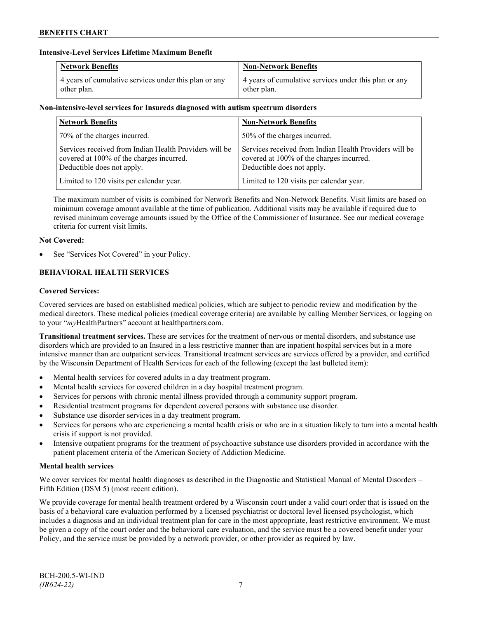# **Intensive-Level Services Lifetime Maximum Benefit**

| <b>Network Benefits</b>                               | <b>Non-Network Benefits</b>                           |
|-------------------------------------------------------|-------------------------------------------------------|
| 4 years of cumulative services under this plan or any | 4 years of cumulative services under this plan or any |
| other plan.                                           | other plan.                                           |

# **Non-intensive-level services for Insureds diagnosed with autism spectrum disorders**

| <b>Network Benefits</b>                                                                                                          | <b>Non-Network Benefits</b>                                                                                                      |
|----------------------------------------------------------------------------------------------------------------------------------|----------------------------------------------------------------------------------------------------------------------------------|
| 70% of the charges incurred.                                                                                                     | 50% of the charges incurred.                                                                                                     |
| Services received from Indian Health Providers will be<br>covered at 100% of the charges incurred.<br>Deductible does not apply. | Services received from Indian Health Providers will be<br>covered at 100% of the charges incurred.<br>Deductible does not apply. |
| Limited to 120 visits per calendar year.                                                                                         | Limited to 120 visits per calendar year.                                                                                         |

The maximum number of visits is combined for Network Benefits and Non-Network Benefits. Visit limits are based on minimum coverage amount available at the time of publication. Additional visits may be available if required due to revised minimum coverage amounts issued by the Office of the Commissioner of Insurance. See our medical coverage criteria for current visit limits.

# **Not Covered:**

See "Services Not Covered" in your Policy.

# **BEHAVIORAL HEALTH SERVICES**

# **Covered Services:**

Covered services are based on established medical policies, which are subject to periodic review and modification by the medical directors. These medical policies (medical coverage criteria) are available by calling Member Services, or logging on to your "*my*HealthPartners" account at [healthpartners.com.](http://www.healthpartners.com/)

**Transitional treatment services.** These are services for the treatment of nervous or mental disorders, and substance use disorders which are provided to an Insured in a less restrictive manner than are inpatient hospital services but in a more intensive manner than are outpatient services. Transitional treatment services are services offered by a provider, and certified by the Wisconsin Department of Health Services for each of the following (except the last bulleted item):

- Mental health services for covered adults in a day treatment program.
- Mental health services for covered children in a day hospital treatment program.
- Services for persons with chronic mental illness provided through a community support program.
- Residential treatment programs for dependent covered persons with substance use disorder.
- Substance use disorder services in a day treatment program.
- Services for persons who are experiencing a mental health crisis or who are in a situation likely to turn into a mental health crisis if support is not provided.
- Intensive outpatient programs for the treatment of psychoactive substance use disorders provided in accordance with the patient placement criteria of the American Society of Addiction Medicine.

# **Mental health services**

We cover services for mental health diagnoses as described in the Diagnostic and Statistical Manual of Mental Disorders – Fifth Edition (DSM 5) (most recent edition).

We provide coverage for mental health treatment ordered by a Wisconsin court under a valid court order that is issued on the basis of a behavioral care evaluation performed by a licensed psychiatrist or doctoral level licensed psychologist, which includes a diagnosis and an individual treatment plan for care in the most appropriate, least restrictive environment. We must be given a copy of the court order and the behavioral care evaluation, and the service must be a covered benefit under your Policy, and the service must be provided by a network provider, or other provider as required by law.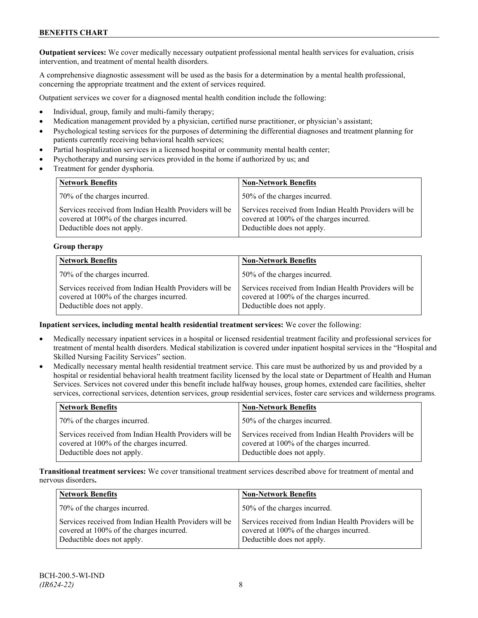**Outpatient services:** We cover medically necessary outpatient professional mental health services for evaluation, crisis intervention, and treatment of mental health disorders.

A comprehensive diagnostic assessment will be used as the basis for a determination by a mental health professional, concerning the appropriate treatment and the extent of services required.

Outpatient services we cover for a diagnosed mental health condition include the following:

- Individual, group, family and multi-family therapy;
- Medication management provided by a physician, certified nurse practitioner, or physician's assistant;
- Psychological testing services for the purposes of determining the differential diagnoses and treatment planning for patients currently receiving behavioral health services;
- Partial hospitalization services in a licensed hospital or community mental health center;
- Psychotherapy and nursing services provided in the home if authorized by us; and
- Treatment for gender dysphoria.

| <b>Network Benefits</b>                                                                                                          | <b>Non-Network Benefits</b>                                                                                                      |
|----------------------------------------------------------------------------------------------------------------------------------|----------------------------------------------------------------------------------------------------------------------------------|
| 70% of the charges incurred.                                                                                                     | 50% of the charges incurred.                                                                                                     |
| Services received from Indian Health Providers will be<br>covered at 100% of the charges incurred.<br>Deductible does not apply. | Services received from Indian Health Providers will be<br>covered at 100% of the charges incurred.<br>Deductible does not apply. |

## **Group therapy**

| <b>Network Benefits</b>                                                                                                          | <b>Non-Network Benefits</b>                                                                                                      |
|----------------------------------------------------------------------------------------------------------------------------------|----------------------------------------------------------------------------------------------------------------------------------|
| 70% of the charges incurred.                                                                                                     | 50% of the charges incurred.                                                                                                     |
| Services received from Indian Health Providers will be<br>covered at 100% of the charges incurred.<br>Deductible does not apply. | Services received from Indian Health Providers will be<br>covered at 100% of the charges incurred.<br>Deductible does not apply. |

#### **Inpatient services, including mental health residential treatment services:** We cover the following:

- Medically necessary inpatient services in a hospital or licensed residential treatment facility and professional services for treatment of mental health disorders. Medical stabilization is covered under inpatient hospital services in the "Hospital and Skilled Nursing Facility Services" section.
- Medically necessary mental health residential treatment service. This care must be authorized by us and provided by a hospital or residential behavioral health treatment facility licensed by the local state or Department of Health and Human Services. Services not covered under this benefit include halfway houses, group homes, extended care facilities, shelter services, correctional services, detention services, group residential services, foster care services and wilderness programs.

| <b>Network Benefits</b>                                                                                                          | <b>Non-Network Benefits</b>                                                                                                      |
|----------------------------------------------------------------------------------------------------------------------------------|----------------------------------------------------------------------------------------------------------------------------------|
| 70% of the charges incurred.                                                                                                     | 50% of the charges incurred.                                                                                                     |
| Services received from Indian Health Providers will be<br>covered at 100% of the charges incurred.<br>Deductible does not apply. | Services received from Indian Health Providers will be<br>covered at 100% of the charges incurred.<br>Deductible does not apply. |

**Transitional treatment services:** We cover transitional treatment services described above for treatment of mental and nervous disorders**.**

| <b>Network Benefits</b>                                                                                                          | <b>Non-Network Benefits</b>                                                                                                      |
|----------------------------------------------------------------------------------------------------------------------------------|----------------------------------------------------------------------------------------------------------------------------------|
| 70% of the charges incurred.                                                                                                     | 50% of the charges incurred.                                                                                                     |
| Services received from Indian Health Providers will be<br>covered at 100% of the charges incurred.<br>Deductible does not apply. | Services received from Indian Health Providers will be<br>covered at 100% of the charges incurred.<br>Deductible does not apply. |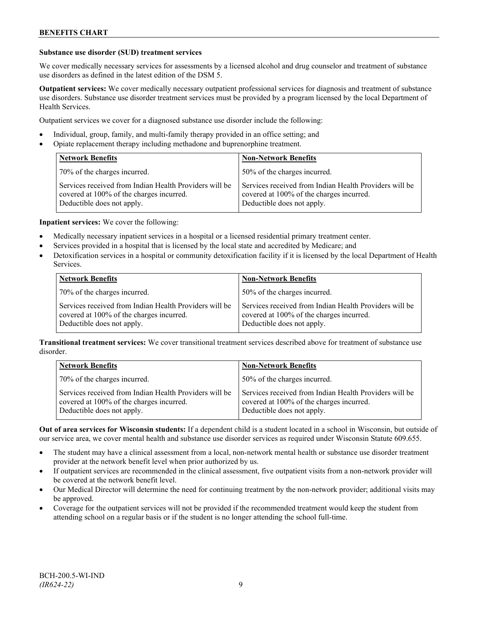## **Substance use disorder (SUD) treatment services**

We cover medically necessary services for assessments by a licensed alcohol and drug counselor and treatment of substance use disorders as defined in the latest edition of the DSM 5.

**Outpatient services:** We cover medically necessary outpatient professional services for diagnosis and treatment of substance use disorders. Substance use disorder treatment services must be provided by a program licensed by the local Department of Health Services.

Outpatient services we cover for a diagnosed substance use disorder include the following:

- Individual, group, family, and multi-family therapy provided in an office setting; and
- Opiate replacement therapy including methadone and buprenorphine treatment.

| <b>Network Benefits</b>                                                                                                          | <b>Non-Network Benefits</b>                                                                                                      |
|----------------------------------------------------------------------------------------------------------------------------------|----------------------------------------------------------------------------------------------------------------------------------|
| 70% of the charges incurred.                                                                                                     | 50% of the charges incurred.                                                                                                     |
| Services received from Indian Health Providers will be<br>covered at 100% of the charges incurred.<br>Deductible does not apply. | Services received from Indian Health Providers will be<br>covered at 100% of the charges incurred.<br>Deductible does not apply. |

**Inpatient services:** We cover the following:

- Medically necessary inpatient services in a hospital or a licensed residential primary treatment center.
- Services provided in a hospital that is licensed by the local state and accredited by Medicare; and
- Detoxification services in a hospital or community detoxification facility if it is licensed by the local Department of Health Services.

| <b>Network Benefits</b>                                                                                                          | <b>Non-Network Benefits</b>                                                                                                      |
|----------------------------------------------------------------------------------------------------------------------------------|----------------------------------------------------------------------------------------------------------------------------------|
| 70% of the charges incurred.                                                                                                     | 50% of the charges incurred.                                                                                                     |
| Services received from Indian Health Providers will be<br>covered at 100% of the charges incurred.<br>Deductible does not apply. | Services received from Indian Health Providers will be<br>covered at 100% of the charges incurred.<br>Deductible does not apply. |

**Transitional treatment services:** We cover transitional treatment services described above for treatment of substance use disorder.

| <b>Network Benefits</b>                                                                                                          | <b>Non-Network Benefits</b>                                                                                                      |
|----------------------------------------------------------------------------------------------------------------------------------|----------------------------------------------------------------------------------------------------------------------------------|
| 70% of the charges incurred.                                                                                                     | 50% of the charges incurred.                                                                                                     |
| Services received from Indian Health Providers will be<br>covered at 100% of the charges incurred.<br>Deductible does not apply. | Services received from Indian Health Providers will be<br>covered at 100% of the charges incurred.<br>Deductible does not apply. |

**Out of area services for Wisconsin students:** If a dependent child is a student located in a school in Wisconsin, but outside of our service area, we cover mental health and substance use disorder services as required under Wisconsin Statute 609.655.

- The student may have a clinical assessment from a local, non-network mental health or substance use disorder treatment provider at the network benefit level when prior authorized by us.
- If outpatient services are recommended in the clinical assessment, five outpatient visits from a non-network provider will be covered at the network benefit level.
- Our Medical Director will determine the need for continuing treatment by the non-network provider; additional visits may be approved.
- Coverage for the outpatient services will not be provided if the recommended treatment would keep the student from attending school on a regular basis or if the student is no longer attending the school full-time.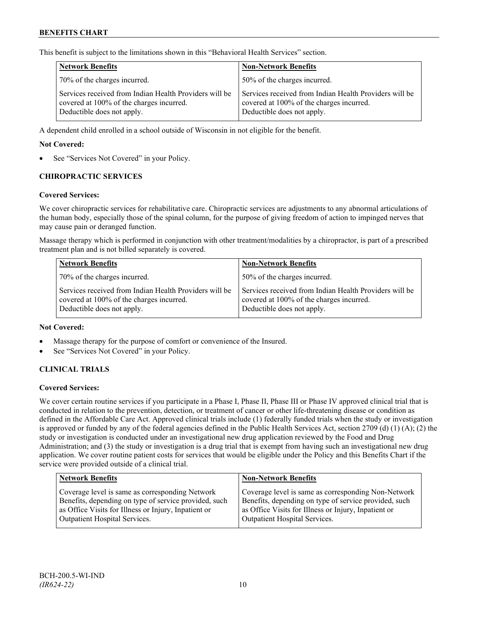This benefit is subject to the limitations shown in this "Behavioral Health Services" section.

| <b>Network Benefits</b>                                                                                                          | <b>Non-Network Benefits</b>                                                                                                      |
|----------------------------------------------------------------------------------------------------------------------------------|----------------------------------------------------------------------------------------------------------------------------------|
| 70% of the charges incurred.                                                                                                     | 50% of the charges incurred.                                                                                                     |
| Services received from Indian Health Providers will be<br>covered at 100% of the charges incurred.<br>Deductible does not apply. | Services received from Indian Health Providers will be<br>covered at 100% of the charges incurred.<br>Deductible does not apply. |

A dependent child enrolled in a school outside of Wisconsin in not eligible for the benefit.

## **Not Covered:**

See "Services Not Covered" in your Policy.

# **CHIROPRACTIC SERVICES**

#### **Covered Services:**

We cover chiropractic services for rehabilitative care. Chiropractic services are adjustments to any abnormal articulations of the human body, especially those of the spinal column, for the purpose of giving freedom of action to impinged nerves that may cause pain or deranged function.

Massage therapy which is performed in conjunction with other treatment/modalities by a chiropractor, is part of a prescribed treatment plan and is not billed separately is covered.

| <b>Network Benefits</b>                                                                                                          | <b>Non-Network Benefits</b>                                                                                                      |
|----------------------------------------------------------------------------------------------------------------------------------|----------------------------------------------------------------------------------------------------------------------------------|
| 70% of the charges incurred.                                                                                                     | 50% of the charges incurred.                                                                                                     |
| Services received from Indian Health Providers will be<br>covered at 100% of the charges incurred.<br>Deductible does not apply. | Services received from Indian Health Providers will be<br>covered at 100% of the charges incurred.<br>Deductible does not apply. |

#### **Not Covered:**

- Massage therapy for the purpose of comfort or convenience of the Insured.
- See "Services Not Covered" in your Policy.

# **CLINICAL TRIALS**

#### **Covered Services:**

We cover certain routine services if you participate in a Phase I, Phase II, Phase III or Phase IV approved clinical trial that is conducted in relation to the prevention, detection, or treatment of cancer or other life-threatening disease or condition as defined in the Affordable Care Act. Approved clinical trials include (1) federally funded trials when the study or investigation is approved or funded by any of the federal agencies defined in the Public Health Services Act, section 2709 (d) (1) (A); (2) the study or investigation is conducted under an investigational new drug application reviewed by the Food and Drug Administration; and (3) the study or investigation is a drug trial that is exempt from having such an investigational new drug application. We cover routine patient costs for services that would be eligible under the Policy and this Benefits Chart if the service were provided outside of a clinical trial.

| <b>Network Benefits</b>                               | <b>Non-Network Benefits</b>                           |
|-------------------------------------------------------|-------------------------------------------------------|
| Coverage level is same as corresponding Network       | Coverage level is same as corresponding Non-Network   |
| Benefits, depending on type of service provided, such | Benefits, depending on type of service provided, such |
| as Office Visits for Illness or Injury, Inpatient or  | as Office Visits for Illness or Injury, Inpatient or  |
| Outpatient Hospital Services.                         | Outpatient Hospital Services.                         |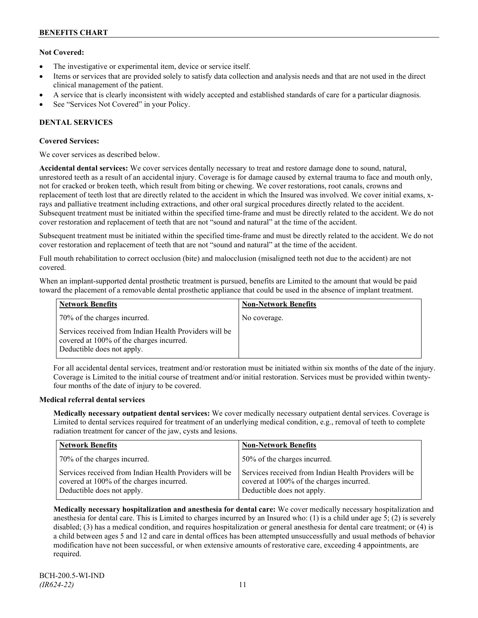# **Not Covered:**

- The investigative or experimental item, device or service itself.
- Items or services that are provided solely to satisfy data collection and analysis needs and that are not used in the direct clinical management of the patient.
- A service that is clearly inconsistent with widely accepted and established standards of care for a particular diagnosis.
- See "Services Not Covered" in your Policy.

# **DENTAL SERVICES**

# **Covered Services:**

We cover services as described below.

**Accidental dental services:** We cover services dentally necessary to treat and restore damage done to sound, natural, unrestored teeth as a result of an accidental injury. Coverage is for damage caused by external trauma to face and mouth only, not for cracked or broken teeth, which result from biting or chewing. We cover restorations, root canals, crowns and replacement of teeth lost that are directly related to the accident in which the Insured was involved. We cover initial exams, xrays and palliative treatment including extractions, and other oral surgical procedures directly related to the accident. Subsequent treatment must be initiated within the specified time-frame and must be directly related to the accident. We do not cover restoration and replacement of teeth that are not "sound and natural" at the time of the accident.

Subsequent treatment must be initiated within the specified time-frame and must be directly related to the accident. We do not cover restoration and replacement of teeth that are not "sound and natural" at the time of the accident.

Full mouth rehabilitation to correct occlusion (bite) and malocclusion (misaligned teeth not due to the accident) are not covered.

When an implant-supported dental prosthetic treatment is pursued, benefits are Limited to the amount that would be paid toward the placement of a removable dental prosthetic appliance that could be used in the absence of implant treatment.

| <b>Network Benefits</b>                                                                                                          | <b>Non-Network Benefits</b> |
|----------------------------------------------------------------------------------------------------------------------------------|-----------------------------|
| 70% of the charges incurred.                                                                                                     | No coverage.                |
| Services received from Indian Health Providers will be<br>covered at 100% of the charges incurred.<br>Deductible does not apply. |                             |

For all accidental dental services, treatment and/or restoration must be initiated within six months of the date of the injury. Coverage is Limited to the initial course of treatment and/or initial restoration. Services must be provided within twentyfour months of the date of injury to be covered.

# **Medical referral dental services**

**Medically necessary outpatient dental services:** We cover medically necessary outpatient dental services. Coverage is Limited to dental services required for treatment of an underlying medical condition, e.g., removal of teeth to complete radiation treatment for cancer of the jaw, cysts and lesions.

| <b>Network Benefits</b>                                                                                                          | <b>Non-Network Benefits</b>                                                                                                      |
|----------------------------------------------------------------------------------------------------------------------------------|----------------------------------------------------------------------------------------------------------------------------------|
| 70% of the charges incurred.                                                                                                     | 50% of the charges incurred.                                                                                                     |
| Services received from Indian Health Providers will be<br>covered at 100% of the charges incurred.<br>Deductible does not apply. | Services received from Indian Health Providers will be<br>covered at 100% of the charges incurred.<br>Deductible does not apply. |

**Medically necessary hospitalization and anesthesia for dental care:** We cover medically necessary hospitalization and anesthesia for dental care. This is Limited to charges incurred by an Insured who: (1) is a child under age 5; (2) is severely disabled; (3) has a medical condition, and requires hospitalization or general anesthesia for dental care treatment; or (4) is a child between ages 5 and 12 and care in dental offices has been attempted unsuccessfully and usual methods of behavior modification have not been successful, or when extensive amounts of restorative care, exceeding 4 appointments, are required.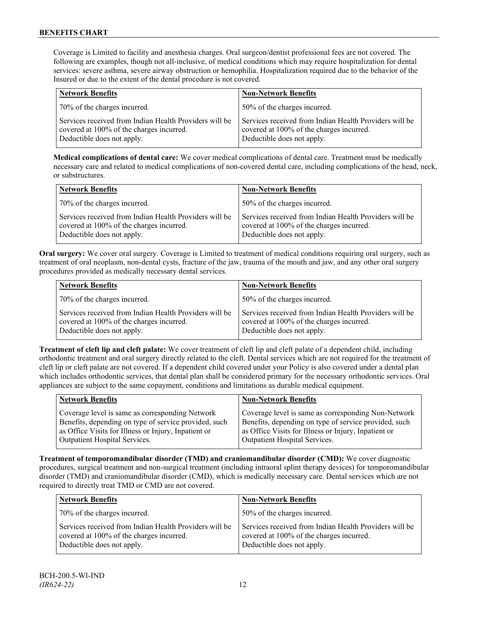Coverage is Limited to facility and anesthesia charges. Oral surgeon/dentist professional fees are not covered. The following are examples, though not all-inclusive, of medical conditions which may require hospitalization for dental services: severe asthma, severe airway obstruction or hemophilia. Hospitalization required due to the behavior of the Insured or due to the extent of the dental procedure is not covered.

| <b>Network Benefits</b>                                                                                                          | <b>Non-Network Benefits</b>                                                                                                      |
|----------------------------------------------------------------------------------------------------------------------------------|----------------------------------------------------------------------------------------------------------------------------------|
| 70% of the charges incurred.                                                                                                     | 50% of the charges incurred.                                                                                                     |
| Services received from Indian Health Providers will be<br>covered at 100% of the charges incurred.<br>Deductible does not apply. | Services received from Indian Health Providers will be<br>covered at 100% of the charges incurred.<br>Deductible does not apply. |

**Medical complications of dental care:** We cover medical complications of dental care. Treatment must be medically necessary care and related to medical complications of non-covered dental care, including complications of the head, neck, or substructures.

| <b>Network Benefits</b>                                                                                                          | <b>Non-Network Benefits</b>                                                                                                      |
|----------------------------------------------------------------------------------------------------------------------------------|----------------------------------------------------------------------------------------------------------------------------------|
| 70% of the charges incurred.                                                                                                     | 50% of the charges incurred.                                                                                                     |
| Services received from Indian Health Providers will be<br>covered at 100% of the charges incurred.<br>Deductible does not apply. | Services received from Indian Health Providers will be<br>covered at 100% of the charges incurred.<br>Deductible does not apply. |

**Oral surgery:** We cover oral surgery. Coverage is Limited to treatment of medical conditions requiring oral surgery, such as treatment of oral neoplasm, non-dental cysts, fracture of the jaw, trauma of the mouth and jaw, and any other oral surgery procedures provided as medically necessary dental services.

| <b>Network Benefits</b>                                                                                                          | <b>Non-Network Benefits</b>                                                                                                      |
|----------------------------------------------------------------------------------------------------------------------------------|----------------------------------------------------------------------------------------------------------------------------------|
| 70% of the charges incurred.                                                                                                     | 50% of the charges incurred.                                                                                                     |
| Services received from Indian Health Providers will be<br>covered at 100% of the charges incurred.<br>Deductible does not apply. | Services received from Indian Health Providers will be<br>covered at 100% of the charges incurred.<br>Deductible does not apply. |

**Treatment of cleft lip and cleft palate:** We cover treatment of cleft lip and cleft palate of a dependent child, including orthodontic treatment and oral surgery directly related to the cleft. Dental services which are not required for the treatment of cleft lip or cleft palate are not covered. If a dependent child covered under your Policy is also covered under a dental plan which includes orthodontic services, that dental plan shall be considered primary for the necessary orthodontic services. Oral appliances are subject to the same copayment, conditions and limitations as durable medical equipment.

| <b>Network Benefits</b>                               | <b>Non-Network Benefits</b>                           |
|-------------------------------------------------------|-------------------------------------------------------|
| Coverage level is same as corresponding Network       | Coverage level is same as corresponding Non-Network   |
| Benefits, depending on type of service provided, such | Benefits, depending on type of service provided, such |
| as Office Visits for Illness or Injury, Inpatient or  | as Office Visits for Illness or Injury, Inpatient or  |
| Outpatient Hospital Services.                         | <b>Outpatient Hospital Services.</b>                  |

**Treatment of temporomandibular disorder (TMD) and craniomandibular disorder (CMD):** We cover diagnostic procedures, surgical treatment and non-surgical treatment (including intraoral splint therapy devices) for temporomandibular disorder (TMD) and craniomandibular disorder (CMD), which is medically necessary care. Dental services which are not required to directly treat TMD or CMD are not covered.

| <b>Network Benefits</b>                                                                                                          | <b>Non-Network Benefits</b>                                                                                                      |
|----------------------------------------------------------------------------------------------------------------------------------|----------------------------------------------------------------------------------------------------------------------------------|
| 70% of the charges incurred.                                                                                                     | 50% of the charges incurred.                                                                                                     |
| Services received from Indian Health Providers will be<br>covered at 100% of the charges incurred.<br>Deductible does not apply. | Services received from Indian Health Providers will be<br>covered at 100% of the charges incurred.<br>Deductible does not apply. |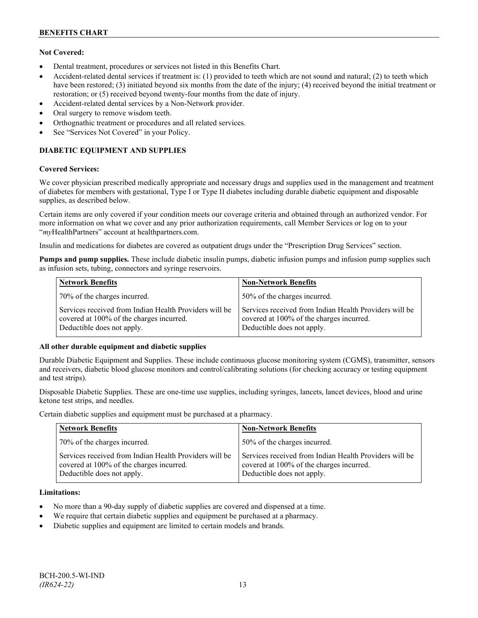# **Not Covered:**

- Dental treatment, procedures or services not listed in this Benefits Chart.
- Accident-related dental services if treatment is: (1) provided to teeth which are not sound and natural; (2) to teeth which have been restored; (3) initiated beyond six months from the date of the injury; (4) received beyond the initial treatment or restoration; or (5) received beyond twenty-four months from the date of injury.
- Accident-related dental services by a Non-Network provider.
- Oral surgery to remove wisdom teeth.
- Orthognathic treatment or procedures and all related services.
- See "Services Not Covered" in your Policy.

# **DIABETIC EQUIPMENT AND SUPPLIES**

# **Covered Services:**

We cover physician prescribed medically appropriate and necessary drugs and supplies used in the management and treatment of diabetes for members with gestational, Type I or Type II diabetes including durable diabetic equipment and disposable supplies, as described below.

Certain items are only covered if your condition meets our coverage criteria and obtained through an authorized vendor. For more information on what we cover and any prior authorization requirements, call Member Services or log on to your "*my*HealthPartners" account at [healthpartners.com.](http://www.healthpartners.com/)

Insulin and medications for diabetes are covered as outpatient drugs under the "Prescription Drug Services" section.

**Pumps and pump supplies.** These include diabetic insulin pumps, diabetic infusion pumps and infusion pump supplies such as infusion sets, tubing, connectors and syringe reservoirs.

| <b>Network Benefits</b>                                                                                                          | <b>Non-Network Benefits</b>                                                                                                      |
|----------------------------------------------------------------------------------------------------------------------------------|----------------------------------------------------------------------------------------------------------------------------------|
| 70% of the charges incurred.                                                                                                     | 50% of the charges incurred.                                                                                                     |
| Services received from Indian Health Providers will be<br>covered at 100% of the charges incurred.<br>Deductible does not apply. | Services received from Indian Health Providers will be<br>covered at 100% of the charges incurred.<br>Deductible does not apply. |

# **All other durable equipment and diabetic supplies**

Durable Diabetic Equipment and Supplies. These include continuous glucose monitoring system (CGMS), transmitter, sensors and receivers, diabetic blood glucose monitors and control/calibrating solutions (for checking accuracy or testing equipment and test strips).

Disposable Diabetic Supplies. These are one-time use supplies, including syringes, lancets, lancet devices, blood and urine ketone test strips, and needles.

Certain diabetic supplies and equipment must be purchased at a pharmacy.

| <b>Network Benefits</b>                                                                                                          | <b>Non-Network Benefits</b>                                                                                                      |
|----------------------------------------------------------------------------------------------------------------------------------|----------------------------------------------------------------------------------------------------------------------------------|
| 70% of the charges incurred.                                                                                                     | 50% of the charges incurred.                                                                                                     |
| Services received from Indian Health Providers will be<br>covered at 100% of the charges incurred.<br>Deductible does not apply. | Services received from Indian Health Providers will be<br>covered at 100% of the charges incurred.<br>Deductible does not apply. |

# **Limitations:**

- No more than a 90-day supply of diabetic supplies are covered and dispensed at a time.
- We require that certain diabetic supplies and equipment be purchased at a pharmacy.
- Diabetic supplies and equipment are limited to certain models and brands.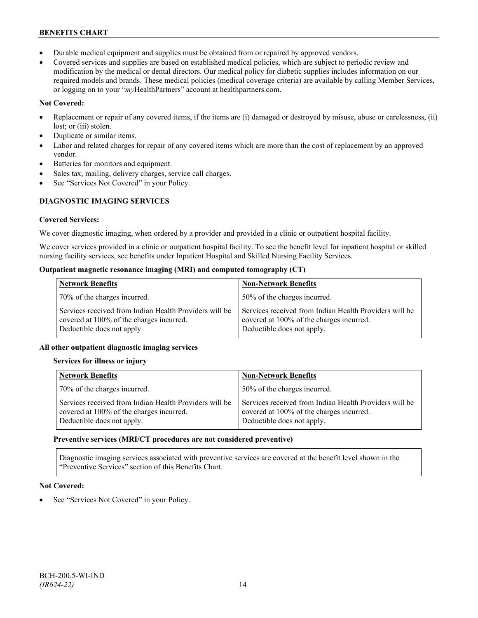- Durable medical equipment and supplies must be obtained from or repaired by approved vendors.
- Covered services and supplies are based on established medical policies, which are subject to periodic review and modification by the medical or dental directors. Our medical policy for diabetic supplies includes information on our required models and brands. These medical policies (medical coverage criteria) are available by calling Member Services, or logging on to your "*my*HealthPartners" account at healthpartners.com.

# **Not Covered:**

- Replacement or repair of any covered items, if the items are (i) damaged or destroyed by misuse, abuse or carelessness, (ii) lost; or (iii) stolen.
- Duplicate or similar items.
- Labor and related charges for repair of any covered items which are more than the cost of replacement by an approved vendor.
- Batteries for monitors and equipment.
- Sales tax, mailing, delivery charges, service call charges.
- See "Services Not Covered" in your Policy.

# **DIAGNOSTIC IMAGING SERVICES**

# **Covered Services:**

We cover diagnostic imaging, when ordered by a provider and provided in a clinic or outpatient hospital facility.

We cover services provided in a clinic or outpatient hospital facility. To see the benefit level for inpatient hospital or skilled nursing facility services, see benefits under Inpatient Hospital and Skilled Nursing Facility Services.

# **Outpatient magnetic resonance imaging (MRI) and computed tomography (CT)**

| <b>Network Benefits</b>                                                                                                          | <b>Non-Network Benefits</b>                                                                                                      |
|----------------------------------------------------------------------------------------------------------------------------------|----------------------------------------------------------------------------------------------------------------------------------|
| 70% of the charges incurred.                                                                                                     | 50% of the charges incurred.                                                                                                     |
| Services received from Indian Health Providers will be<br>covered at 100% of the charges incurred.<br>Deductible does not apply. | Services received from Indian Health Providers will be<br>covered at 100% of the charges incurred.<br>Deductible does not apply. |

# **All other outpatient diagnostic imaging services**

# **Services for illness or injury**

| <b>Network Benefits</b>                                                                                                          | <b>Non-Network Benefits</b>                                                                                                      |
|----------------------------------------------------------------------------------------------------------------------------------|----------------------------------------------------------------------------------------------------------------------------------|
| 70% of the charges incurred.                                                                                                     | 50% of the charges incurred.                                                                                                     |
| Services received from Indian Health Providers will be<br>covered at 100% of the charges incurred.<br>Deductible does not apply. | Services received from Indian Health Providers will be<br>covered at 100% of the charges incurred.<br>Deductible does not apply. |

# **Preventive services (MRI/CT procedures are not considered preventive)**

Diagnostic imaging services associated with preventive services are covered at the benefit level shown in the "Preventive Services" section of this Benefits Chart.

# **Not Covered:**

See "Services Not Covered" in your Policy.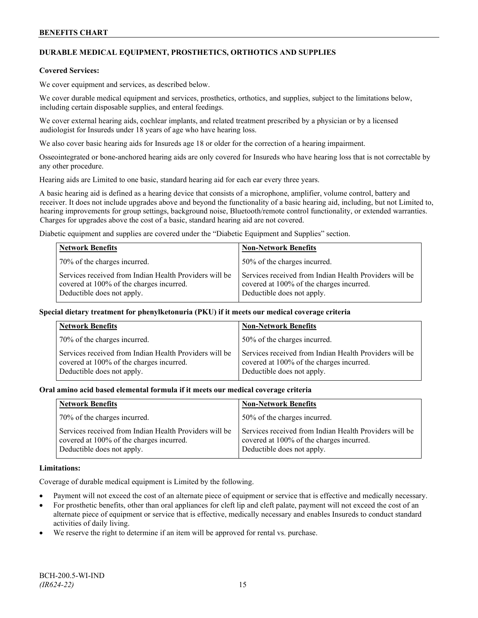# **DURABLE MEDICAL EQUIPMENT, PROSTHETICS, ORTHOTICS AND SUPPLIES**

## **Covered Services:**

We cover equipment and services, as described below.

We cover durable medical equipment and services, prosthetics, orthotics, and supplies, subject to the limitations below, including certain disposable supplies, and enteral feedings.

We cover external hearing aids, cochlear implants, and related treatment prescribed by a physician or by a licensed audiologist for Insureds under 18 years of age who have hearing loss.

We also cover basic hearing aids for Insureds age 18 or older for the correction of a hearing impairment.

Osseointegrated or bone-anchored hearing aids are only covered for Insureds who have hearing loss that is not correctable by any other procedure.

Hearing aids are Limited to one basic, standard hearing aid for each ear every three years.

A basic hearing aid is defined as a hearing device that consists of a microphone, amplifier, volume control, battery and receiver. It does not include upgrades above and beyond the functionality of a basic hearing aid, including, but not Limited to, hearing improvements for group settings, background noise, Bluetooth/remote control functionality, or extended warranties. Charges for upgrades above the cost of a basic, standard hearing aid are not covered.

Diabetic equipment and supplies are covered under the "Diabetic Equipment and Supplies" section.

| <b>Network Benefits</b>                                                                                                          | <b>Non-Network Benefits</b>                                                                                                      |
|----------------------------------------------------------------------------------------------------------------------------------|----------------------------------------------------------------------------------------------------------------------------------|
| 70% of the charges incurred.                                                                                                     | 50% of the charges incurred.                                                                                                     |
| Services received from Indian Health Providers will be<br>covered at 100% of the charges incurred.<br>Deductible does not apply. | Services received from Indian Health Providers will be<br>covered at 100% of the charges incurred.<br>Deductible does not apply. |

#### **Special dietary treatment for phenylketonuria (PKU) if it meets our medical coverage criteria**

| <b>Network Benefits</b>                                                                                                          | <b>Non-Network Benefits</b>                                                                                                      |
|----------------------------------------------------------------------------------------------------------------------------------|----------------------------------------------------------------------------------------------------------------------------------|
| 70% of the charges incurred.                                                                                                     | 50% of the charges incurred.                                                                                                     |
| Services received from Indian Health Providers will be<br>covered at 100% of the charges incurred.<br>Deductible does not apply. | Services received from Indian Health Providers will be<br>covered at 100% of the charges incurred.<br>Deductible does not apply. |

#### **Oral amino acid based elemental formula if it meets our medical coverage criteria**

| <b>Network Benefits</b>                                                                                                          | <b>Non-Network Benefits</b>                                                                                                      |
|----------------------------------------------------------------------------------------------------------------------------------|----------------------------------------------------------------------------------------------------------------------------------|
| 70% of the charges incurred.                                                                                                     | 50% of the charges incurred.                                                                                                     |
| Services received from Indian Health Providers will be<br>covered at 100% of the charges incurred.<br>Deductible does not apply. | Services received from Indian Health Providers will be<br>covered at 100% of the charges incurred.<br>Deductible does not apply. |

#### **Limitations:**

Coverage of durable medical equipment is Limited by the following.

- Payment will not exceed the cost of an alternate piece of equipment or service that is effective and medically necessary.
- For prosthetic benefits, other than oral appliances for cleft lip and cleft palate, payment will not exceed the cost of an alternate piece of equipment or service that is effective, medically necessary and enables Insureds to conduct standard activities of daily living.
- We reserve the right to determine if an item will be approved for rental vs. purchase.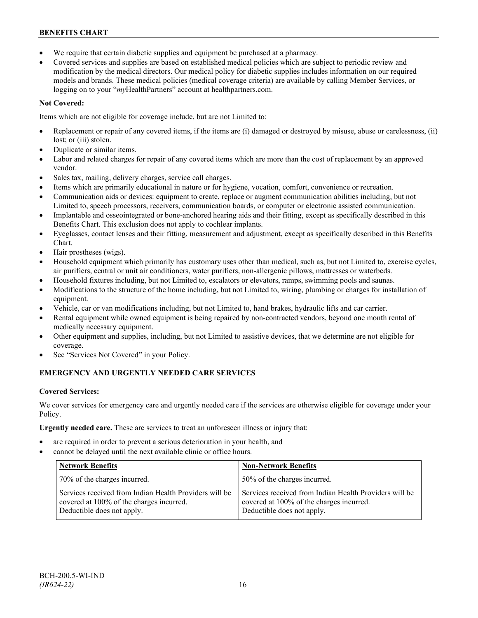- We require that certain diabetic supplies and equipment be purchased at a pharmacy.
- Covered services and supplies are based on established medical policies which are subject to periodic review and modification by the medical directors. Our medical policy for diabetic supplies includes information on our required models and brands. These medical policies (medical coverage criteria) are available by calling Member Services, or logging on to your "*my*HealthPartners" account at [healthpartners.com.](http://www.healthpartners.com/)

# **Not Covered:**

Items which are not eligible for coverage include, but are not Limited to:

- Replacement or repair of any covered items, if the items are (i) damaged or destroyed by misuse, abuse or carelessness, (ii) lost; or (iii) stolen.
- Duplicate or similar items.
- Labor and related charges for repair of any covered items which are more than the cost of replacement by an approved vendor.
- Sales tax, mailing, delivery charges, service call charges.
- Items which are primarily educational in nature or for hygiene, vocation, comfort, convenience or recreation.
- Communication aids or devices: equipment to create, replace or augment communication abilities including, but not Limited to, speech processors, receivers, communication boards, or computer or electronic assisted communication.
- Implantable and osseointegrated or bone-anchored hearing aids and their fitting, except as specifically described in this Benefits Chart. This exclusion does not apply to cochlear implants.
- Eyeglasses, contact lenses and their fitting, measurement and adjustment, except as specifically described in this Benefits Chart.
- Hair prostheses (wigs).
- Household equipment which primarily has customary uses other than medical, such as, but not Limited to, exercise cycles, air purifiers, central or unit air conditioners, water purifiers, non-allergenic pillows, mattresses or waterbeds.
- Household fixtures including, but not Limited to, escalators or elevators, ramps, swimming pools and saunas.
- Modifications to the structure of the home including, but not Limited to, wiring, plumbing or charges for installation of equipment.
- Vehicle, car or van modifications including, but not Limited to, hand brakes, hydraulic lifts and car carrier.
- Rental equipment while owned equipment is being repaired by non-contracted vendors, beyond one month rental of medically necessary equipment.
- Other equipment and supplies, including, but not Limited to assistive devices, that we determine are not eligible for coverage.
- See "Services Not Covered" in your Policy.

# **EMERGENCY AND URGENTLY NEEDED CARE SERVICES**

# **Covered Services:**

We cover services for emergency care and urgently needed care if the services are otherwise eligible for coverage under your Policy.

**Urgently needed care.** These are services to treat an unforeseen illness or injury that:

- are required in order to prevent a serious deterioration in your health, and
- cannot be delayed until the next available clinic or office hours.

| <b>Network Benefits</b>                                                                                                          | <b>Non-Network Benefits</b>                                                                                                      |
|----------------------------------------------------------------------------------------------------------------------------------|----------------------------------------------------------------------------------------------------------------------------------|
| 70% of the charges incurred.                                                                                                     | 50% of the charges incurred.                                                                                                     |
| Services received from Indian Health Providers will be<br>covered at 100% of the charges incurred.<br>Deductible does not apply. | Services received from Indian Health Providers will be<br>covered at 100% of the charges incurred.<br>Deductible does not apply. |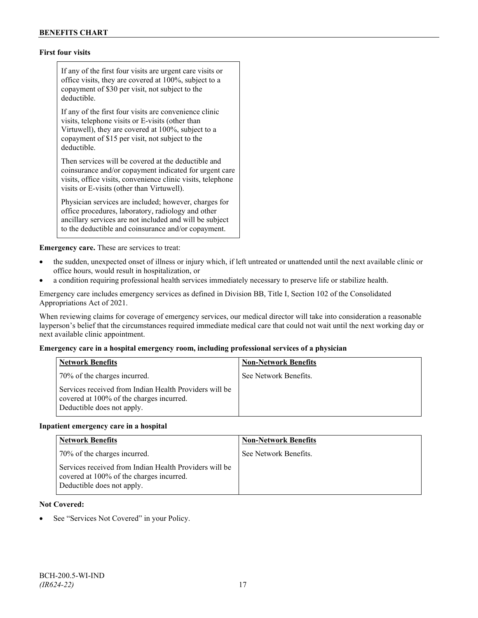# **First four visits**

If any of the first four visits are urgent care visits or office visits, they are covered at 100%, subject to a copayment of \$30 per visit, not subject to the deductible.

If any of the first four visits are convenience clinic visits, telephone visits or E-visits (other than Virtuwell), they are covered at 100%, subject to a copayment of \$15 per visit, not subject to the deductible.

Then services will be covered at the deductible and coinsurance and/or copayment indicated for urgent care visits, office visits, convenience clinic visits, telephone visits or E-visits (other than Virtuwell).

Physician services are included; however, charges for office procedures, laboratory, radiology and other ancillary services are not included and will be subject to the deductible and coinsurance and/or copayment.

**Emergency care.** These are services to treat:

- the sudden, unexpected onset of illness or injury which, if left untreated or unattended until the next available clinic or office hours, would result in hospitalization, or
- a condition requiring professional health services immediately necessary to preserve life or stabilize health.

Emergency care includes emergency services as defined in Division BB, Title I, Section 102 of the Consolidated Appropriations Act of 2021.

When reviewing claims for coverage of emergency services, our medical director will take into consideration a reasonable layperson's belief that the circumstances required immediate medical care that could not wait until the next working day or next available clinic appointment.

# **Emergency care in a hospital emergency room, including professional services of a physician**

| <b>Network Benefits</b>                                                                                                          | <b>Non-Network Benefits</b> |
|----------------------------------------------------------------------------------------------------------------------------------|-----------------------------|
| 70% of the charges incurred.                                                                                                     | See Network Benefits.       |
| Services received from Indian Health Providers will be<br>covered at 100% of the charges incurred.<br>Deductible does not apply. |                             |

#### **Inpatient emergency care in a hospital**

| <b>Network Benefits</b>                                                                                                          | <b>Non-Network Benefits</b> |
|----------------------------------------------------------------------------------------------------------------------------------|-----------------------------|
| 70% of the charges incurred.                                                                                                     | See Network Benefits.       |
| Services received from Indian Health Providers will be<br>covered at 100% of the charges incurred.<br>Deductible does not apply. |                             |

#### **Not Covered:**

See "Services Not Covered" in your Policy.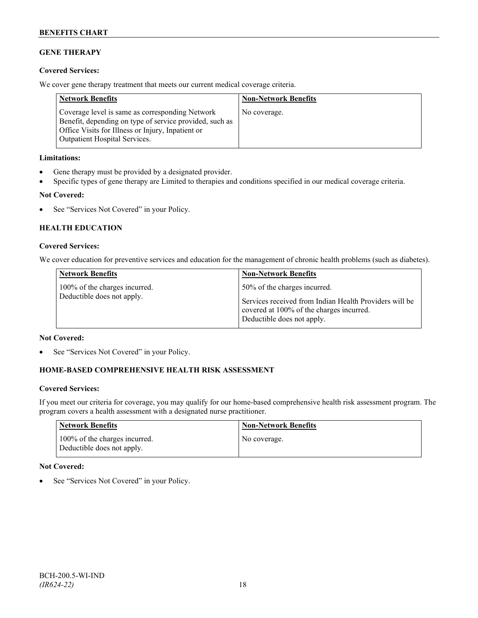# **GENE THERAPY**

# **Covered Services:**

We cover gene therapy treatment that meets our current medical coverage criteria.

| <b>Network Benefits</b>                                                                                                                                                                                 | <b>Non-Network Benefits</b> |
|---------------------------------------------------------------------------------------------------------------------------------------------------------------------------------------------------------|-----------------------------|
| Coverage level is same as corresponding Network<br>Benefit, depending on type of service provided, such as<br>Office Visits for Illness or Injury, Inpatient or<br><b>Outpatient Hospital Services.</b> | No coverage.                |

# **Limitations:**

- Gene therapy must be provided by a designated provider.
- Specific types of gene therapy are Limited to therapies and conditions specified in our medical coverage criteria.

# **Not Covered:**

• See "Services Not Covered" in your Policy.

# **HEALTH EDUCATION**

## **Covered Services:**

We cover education for preventive services and education for the management of chronic health problems (such as diabetes).

| <b>Network Benefits</b>                                     | <b>Non-Network Benefits</b>                                                            |
|-------------------------------------------------------------|----------------------------------------------------------------------------------------|
| 100% of the charges incurred.<br>Deductible does not apply. | 50% of the charges incurred.<br>Services received from Indian Health Providers will be |
|                                                             | covered at 100% of the charges incurred.<br>Deductible does not apply.                 |

# **Not Covered:**

See "Services Not Covered" in your Policy.

# **HOME-BASED COMPREHENSIVE HEALTH RISK ASSESSMENT**

# **Covered Services:**

If you meet our criteria for coverage, you may qualify for our home-based comprehensive health risk assessment program. The program covers a health assessment with a designated nurse practitioner.

| Network Benefits                                            | <b>Non-Network Benefits</b> |
|-------------------------------------------------------------|-----------------------------|
| 100% of the charges incurred.<br>Deductible does not apply. | No coverage.                |

# **Not Covered:**

See "Services Not Covered" in your Policy.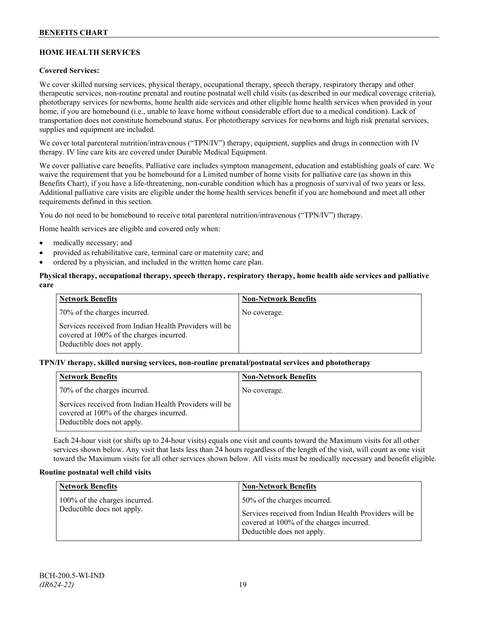# **HOME HEALTH SERVICES**

# **Covered Services:**

We cover skilled nursing services, physical therapy, occupational therapy, speech therapy, respiratory therapy and other therapeutic services, non-routine prenatal and routine postnatal well child visits (as described in our medical coverage criteria), phototherapy services for newborns, home health aide services and other eligible home health services when provided in your home, if you are homebound (i.e., unable to leave home without considerable effort due to a medical condition). Lack of transportation does not constitute homebound status. For phototherapy services for newborns and high risk prenatal services, supplies and equipment are included.

We cover total parenteral nutrition/intravenous ("TPN/IV") therapy, equipment, supplies and drugs in connection with IV therapy. IV line care kits are covered under Durable Medical Equipment.

We cover palliative care benefits. Palliative care includes symptom management, education and establishing goals of care. We waive the requirement that you be homebound for a Limited number of home visits for palliative care (as shown in this Benefits Chart), if you have a life-threatening, non-curable condition which has a prognosis of survival of two years or less. Additional palliative care visits are eligible under the home health services benefit if you are homebound and meet all other requirements defined in this section.

You do not need to be homebound to receive total parenteral nutrition/intravenous ("TPN/IV") therapy.

Home health services are eligible and covered only when:

- medically necessary; and
- provided as rehabilitative care, terminal care or maternity care; and
- ordered by a physician, and included in the written home care plan.

## **Physical therapy, occupational therapy, speech therapy, respiratory therapy, home health aide services and palliative care**

| <b>Network Benefits</b>                                                                                                          | <b>Non-Network Benefits</b> |
|----------------------------------------------------------------------------------------------------------------------------------|-----------------------------|
| 70% of the charges incurred.                                                                                                     | No coverage.                |
| Services received from Indian Health Providers will be<br>covered at 100% of the charges incurred.<br>Deductible does not apply. |                             |

#### **TPN/IV therapy, skilled nursing services, non-routine prenatal/postnatal services and phototherapy**

| Network Benefits                                                                                                                 | <b>Non-Network Benefits</b> |
|----------------------------------------------------------------------------------------------------------------------------------|-----------------------------|
| 70% of the charges incurred.                                                                                                     | No coverage.                |
| Services received from Indian Health Providers will be<br>covered at 100% of the charges incurred.<br>Deductible does not apply. |                             |

Each 24-hour visit (or shifts up to 24-hour visits) equals one visit and counts toward the Maximum visits for all other services shown below. Any visit that lasts less than 24 hours regardless of the length of the visit, will count as one visit toward the Maximum visits for all other services shown below. All visits must be medically necessary and benefit eligible.

#### **Routine postnatal well child visits**

| <b>Network Benefits</b>                                     | <b>Non-Network Benefits</b>                                                                                                                                      |
|-------------------------------------------------------------|------------------------------------------------------------------------------------------------------------------------------------------------------------------|
| 100% of the charges incurred.<br>Deductible does not apply. | 50% of the charges incurred.<br>Services received from Indian Health Providers will be<br>covered at 100% of the charges incurred.<br>Deductible does not apply. |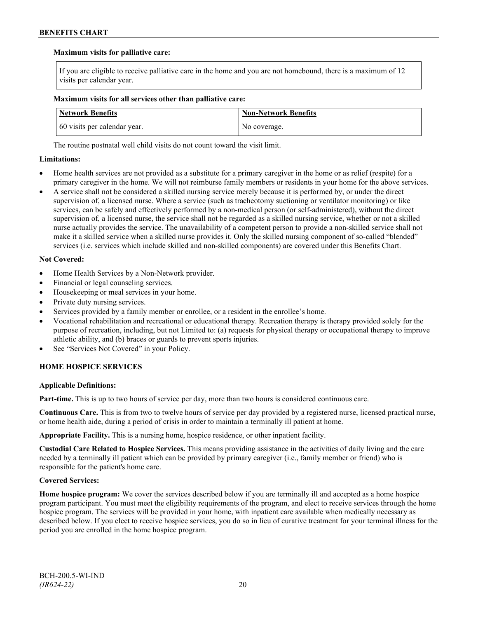# **Maximum visits for palliative care:**

If you are eligible to receive palliative care in the home and you are not homebound, there is a maximum of 12 visits per calendar year.

## **Maximum visits for all services other than palliative care:**

| <b>Network Benefits</b>      | <b>Non-Network Benefits</b> |
|------------------------------|-----------------------------|
| 60 visits per calendar year. | No coverage.                |

The routine postnatal well child visits do not count toward the visit limit.

# **Limitations:**

- Home health services are not provided as a substitute for a primary caregiver in the home or as relief (respite) for a primary caregiver in the home. We will not reimburse family members or residents in your home for the above services.
- A service shall not be considered a skilled nursing service merely because it is performed by, or under the direct supervision of, a licensed nurse. Where a service (such as tracheotomy suctioning or ventilator monitoring) or like services, can be safely and effectively performed by a non-medical person (or self-administered), without the direct supervision of, a licensed nurse, the service shall not be regarded as a skilled nursing service, whether or not a skilled nurse actually provides the service. The unavailability of a competent person to provide a non-skilled service shall not make it a skilled service when a skilled nurse provides it. Only the skilled nursing component of so-called "blended" services (i.e. services which include skilled and non-skilled components) are covered under this Benefits Chart.

## **Not Covered:**

- Home Health Services by a Non-Network provider.
- Financial or legal counseling services.
- Housekeeping or meal services in your home.
- Private duty nursing services.
- Services provided by a family member or enrollee, or a resident in the enrollee's home.
- Vocational rehabilitation and recreational or educational therapy. Recreation therapy is therapy provided solely for the purpose of recreation, including, but not Limited to: (a) requests for physical therapy or occupational therapy to improve athletic ability, and (b) braces or guards to prevent sports injuries.
- See "Services Not Covered" in your Policy.

# **HOME HOSPICE SERVICES**

# **Applicable Definitions:**

**Part-time.** This is up to two hours of service per day, more than two hours is considered continuous care.

**Continuous Care.** This is from two to twelve hours of service per day provided by a registered nurse, licensed practical nurse, or home health aide, during a period of crisis in order to maintain a terminally ill patient at home.

**Appropriate Facility.** This is a nursing home, hospice residence, or other inpatient facility.

**Custodial Care Related to Hospice Services.** This means providing assistance in the activities of daily living and the care needed by a terminally ill patient which can be provided by primary caregiver (i.e., family member or friend) who is responsible for the patient's home care.

# **Covered Services:**

**Home hospice program:** We cover the services described below if you are terminally ill and accepted as a home hospice program participant. You must meet the eligibility requirements of the program, and elect to receive services through the home hospice program. The services will be provided in your home, with inpatient care available when medically necessary as described below. If you elect to receive hospice services, you do so in lieu of curative treatment for your terminal illness for the period you are enrolled in the home hospice program.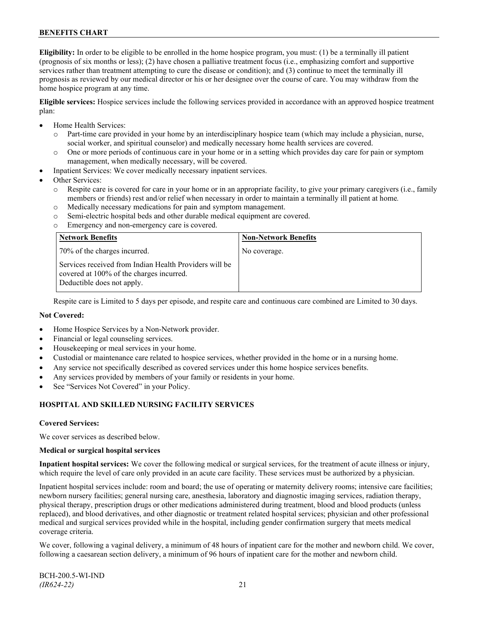**Eligibility:** In order to be eligible to be enrolled in the home hospice program, you must: (1) be a terminally ill patient (prognosis of six months or less); (2) have chosen a palliative treatment focus (i.e., emphasizing comfort and supportive services rather than treatment attempting to cure the disease or condition); and (3) continue to meet the terminally ill prognosis as reviewed by our medical director or his or her designee over the course of care. You may withdraw from the home hospice program at any time.

**Eligible services:** Hospice services include the following services provided in accordance with an approved hospice treatment plan:

- Home Health Services:
	- o Part-time care provided in your home by an interdisciplinary hospice team (which may include a physician, nurse, social worker, and spiritual counselor) and medically necessary home health services are covered.
	- o One or more periods of continuous care in your home or in a setting which provides day care for pain or symptom management, when medically necessary, will be covered.
- Inpatient Services: We cover medically necessary inpatient services.
- Other Services:
	- o Respite care is covered for care in your home or in an appropriate facility, to give your primary caregivers (i.e., family members or friends) rest and/or relief when necessary in order to maintain a terminally ill patient at home*.*
	- o Medically necessary medications for pain and symptom management.
	- o Semi-electric hospital beds and other durable medical equipment are covered.
	- o Emergency and non-emergency care is covered.

| <b>Network Benefits</b>                                                                                                          | <b>Non-Network Benefits</b> |
|----------------------------------------------------------------------------------------------------------------------------------|-----------------------------|
| 70% of the charges incurred.                                                                                                     | No coverage.                |
| Services received from Indian Health Providers will be<br>covered at 100% of the charges incurred.<br>Deductible does not apply. |                             |

Respite care is Limited to 5 days per episode, and respite care and continuous care combined are Limited to 30 days.

#### **Not Covered:**

- Home Hospice Services by a Non-Network provider.
- Financial or legal counseling services.
- Housekeeping or meal services in your home.
- Custodial or maintenance care related to hospice services, whether provided in the home or in a nursing home.
- Any service not specifically described as covered services under this home hospice services benefits.
- Any services provided by members of your family or residents in your home.
- See "Services Not Covered" in your Policy.

# **HOSPITAL AND SKILLED NURSING FACILITY SERVICES**

#### **Covered Services:**

We cover services as described below.

#### **Medical or surgical hospital services**

**Inpatient hospital services:** We cover the following medical or surgical services, for the treatment of acute illness or injury, which require the level of care only provided in an acute care facility. These services must be authorized by a physician.

Inpatient hospital services include: room and board; the use of operating or maternity delivery rooms; intensive care facilities; newborn nursery facilities; general nursing care, anesthesia, laboratory and diagnostic imaging services, radiation therapy, physical therapy, prescription drugs or other medications administered during treatment, blood and blood products (unless replaced), and blood derivatives, and other diagnostic or treatment related hospital services; physician and other professional medical and surgical services provided while in the hospital, including gender confirmation surgery that meets medical coverage criteria.

We cover, following a vaginal delivery, a minimum of 48 hours of inpatient care for the mother and newborn child. We cover, following a caesarean section delivery, a minimum of 96 hours of inpatient care for the mother and newborn child.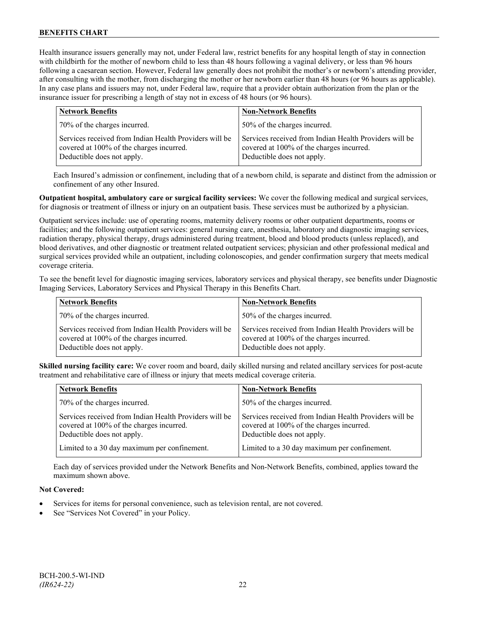Health insurance issuers generally may not, under Federal law, restrict benefits for any hospital length of stay in connection with childbirth for the mother of newborn child to less than 48 hours following a vaginal delivery, or less than 96 hours following a caesarean section. However, Federal law generally does not prohibit the mother's or newborn's attending provider, after consulting with the mother, from discharging the mother or her newborn earlier than 48 hours (or 96 hours as applicable). In any case plans and issuers may not, under Federal law, require that a provider obtain authorization from the plan or the insurance issuer for prescribing a length of stay not in excess of 48 hours (or 96 hours).

| <b>Network Benefits</b>                                                                                                          | <b>Non-Network Benefits</b>                                                                                                      |
|----------------------------------------------------------------------------------------------------------------------------------|----------------------------------------------------------------------------------------------------------------------------------|
| 70% of the charges incurred.                                                                                                     | 50% of the charges incurred.                                                                                                     |
| Services received from Indian Health Providers will be<br>covered at 100% of the charges incurred.<br>Deductible does not apply. | Services received from Indian Health Providers will be<br>covered at 100% of the charges incurred.<br>Deductible does not apply. |

Each Insured's admission or confinement, including that of a newborn child, is separate and distinct from the admission or confinement of any other Insured.

**Outpatient hospital, ambulatory care or surgical facility services:** We cover the following medical and surgical services, for diagnosis or treatment of illness or injury on an outpatient basis. These services must be authorized by a physician.

Outpatient services include: use of operating rooms, maternity delivery rooms or other outpatient departments, rooms or facilities; and the following outpatient services: general nursing care, anesthesia, laboratory and diagnostic imaging services, radiation therapy, physical therapy, drugs administered during treatment, blood and blood products (unless replaced), and blood derivatives, and other diagnostic or treatment related outpatient services; physician and other professional medical and surgical services provided while an outpatient, including colonoscopies, and gender confirmation surgery that meets medical coverage criteria.

To see the benefit level for diagnostic imaging services, laboratory services and physical therapy, see benefits under Diagnostic Imaging Services, Laboratory Services and Physical Therapy in this Benefits Chart.

| <b>Network Benefits</b>                                                                                                          | <b>Non-Network Benefits</b>                                                                                                      |
|----------------------------------------------------------------------------------------------------------------------------------|----------------------------------------------------------------------------------------------------------------------------------|
| 70% of the charges incurred.                                                                                                     | 50% of the charges incurred.                                                                                                     |
| Services received from Indian Health Providers will be<br>covered at 100% of the charges incurred.<br>Deductible does not apply. | Services received from Indian Health Providers will be<br>covered at 100% of the charges incurred.<br>Deductible does not apply. |

**Skilled nursing facility care:** We cover room and board, daily skilled nursing and related ancillary services for post-acute treatment and rehabilitative care of illness or injury that meets medical coverage criteria.

| <b>Network Benefits</b>                                                                                                          | <b>Non-Network Benefits</b>                                                                                                      |
|----------------------------------------------------------------------------------------------------------------------------------|----------------------------------------------------------------------------------------------------------------------------------|
| 70% of the charges incurred.                                                                                                     | 50% of the charges incurred.                                                                                                     |
| Services received from Indian Health Providers will be<br>covered at 100% of the charges incurred.<br>Deductible does not apply. | Services received from Indian Health Providers will be<br>covered at 100% of the charges incurred.<br>Deductible does not apply. |
| Limited to a 30 day maximum per confinement.                                                                                     | Limited to a 30 day maximum per confinement.                                                                                     |

Each day of services provided under the Network Benefits and Non-Network Benefits, combined, applies toward the maximum shown above.

# **Not Covered:**

- Services for items for personal convenience, such as television rental, are not covered.
- See "Services Not Covered" in your Policy.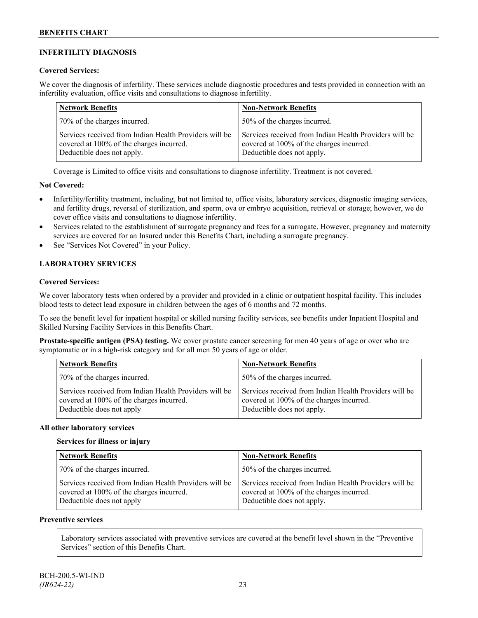# **INFERTILITY DIAGNOSIS**

# **Covered Services:**

We cover the diagnosis of infertility. These services include diagnostic procedures and tests provided in connection with an infertility evaluation, office visits and consultations to diagnose infertility.

| <b>Network Benefits</b>                                                                                                          | <b>Non-Network Benefits</b>                                                                                                      |
|----------------------------------------------------------------------------------------------------------------------------------|----------------------------------------------------------------------------------------------------------------------------------|
| 70% of the charges incurred.                                                                                                     | 50% of the charges incurred.                                                                                                     |
| Services received from Indian Health Providers will be<br>covered at 100% of the charges incurred.<br>Deductible does not apply. | Services received from Indian Health Providers will be<br>covered at 100% of the charges incurred.<br>Deductible does not apply. |

Coverage is Limited to office visits and consultations to diagnose infertility. Treatment is not covered.

# **Not Covered:**

- Infertility/fertility treatment, including, but not limited to, office visits, laboratory services, diagnostic imaging services, and fertility drugs, reversal of sterilization, and sperm, ova or embryo acquisition, retrieval or storage; however, we do cover office visits and consultations to diagnose infertility.
- Services related to the establishment of surrogate pregnancy and fees for a surrogate. However, pregnancy and maternity services are covered for an Insured under this Benefits Chart, including a surrogate pregnancy.
- See "Services Not Covered" in your Policy.

# **LABORATORY SERVICES**

# **Covered Services:**

We cover laboratory tests when ordered by a provider and provided in a clinic or outpatient hospital facility. This includes blood tests to detect lead exposure in children between the ages of 6 months and 72 months.

To see the benefit level for inpatient hospital or skilled nursing facility services, see benefits under Inpatient Hospital and Skilled Nursing Facility Services in this Benefits Chart.

**Prostate-specific antigen (PSA) testing.** We cover prostate cancer screening for men 40 years of age or over who are symptomatic or in a high-risk category and for all men 50 years of age or older.

| <b>Network Benefits</b>                                                                                                         | <b>Non-Network Benefits</b>                                                                                                      |
|---------------------------------------------------------------------------------------------------------------------------------|----------------------------------------------------------------------------------------------------------------------------------|
| 70% of the charges incurred.                                                                                                    | 50% of the charges incurred.                                                                                                     |
| Services received from Indian Health Providers will be<br>covered at 100% of the charges incurred.<br>Deductible does not apply | Services received from Indian Health Providers will be<br>covered at 100% of the charges incurred.<br>Deductible does not apply. |

# **All other laboratory services**

# **Services for illness or injury**

| <b>Network Benefits</b>                                                                                                         | <b>Non-Network Benefits</b>                                                                                                      |
|---------------------------------------------------------------------------------------------------------------------------------|----------------------------------------------------------------------------------------------------------------------------------|
| 70% of the charges incurred.                                                                                                    | 50% of the charges incurred.                                                                                                     |
| Services received from Indian Health Providers will be<br>covered at 100% of the charges incurred.<br>Deductible does not apply | Services received from Indian Health Providers will be<br>covered at 100% of the charges incurred.<br>Deductible does not apply. |

# **Preventive services**

Laboratory services associated with preventive services are covered at the benefit level shown in the "Preventive Services" section of this Benefits Chart.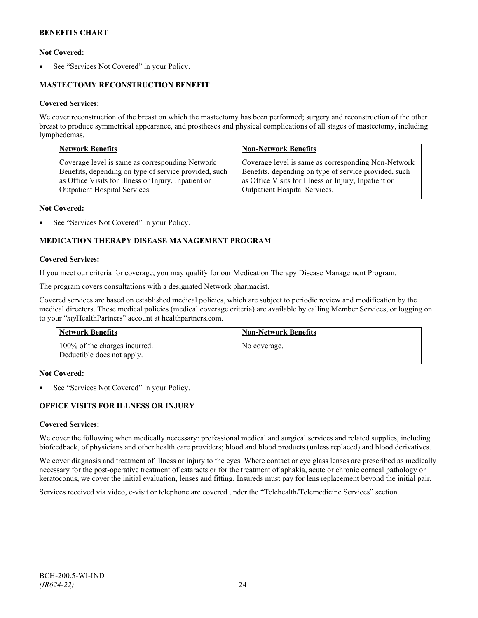# **Not Covered:**

See "Services Not Covered" in your Policy.

# **MASTECTOMY RECONSTRUCTION BENEFIT**

## **Covered Services:**

We cover reconstruction of the breast on which the mastectomy has been performed; surgery and reconstruction of the other breast to produce symmetrical appearance, and prostheses and physical complications of all stages of mastectomy, including lymphedemas.

| <b>Network Benefits</b>                               | <b>Non-Network Benefits</b>                           |
|-------------------------------------------------------|-------------------------------------------------------|
| Coverage level is same as corresponding Network       | Coverage level is same as corresponding Non-Network   |
| Benefits, depending on type of service provided, such | Benefits, depending on type of service provided, such |
| as Office Visits for Illness or Injury, Inpatient or  | as Office Visits for Illness or Injury, Inpatient or  |
| Outpatient Hospital Services.                         | Outpatient Hospital Services.                         |

## **Not Covered:**

See "Services Not Covered" in your Policy.

# **MEDICATION THERAPY DISEASE MANAGEMENT PROGRAM**

## **Covered Services:**

If you meet our criteria for coverage, you may qualify for our Medication Therapy Disease Management Program.

The program covers consultations with a designated Network pharmacist.

Covered services are based on established medical policies, which are subject to periodic review and modification by the medical directors. These medical policies (medical coverage criteria) are available by calling Member Services, or logging on to your "*my*HealthPartners" account at [healthpartners.com.](http://www.healthpartners.com/)

| <b>Network Benefits</b>                                     | <b>Non-Network Benefits</b> |
|-------------------------------------------------------------|-----------------------------|
| 100% of the charges incurred.<br>Deductible does not apply. | No coverage.                |

# **Not Covered:**

See "Services Not Covered" in your Policy.

# **OFFICE VISITS FOR ILLNESS OR INJURY**

# **Covered Services:**

We cover the following when medically necessary: professional medical and surgical services and related supplies, including biofeedback, of physicians and other health care providers; blood and blood products (unless replaced) and blood derivatives.

We cover diagnosis and treatment of illness or injury to the eyes. Where contact or eye glass lenses are prescribed as medically necessary for the post-operative treatment of cataracts or for the treatment of aphakia, acute or chronic corneal pathology or keratoconus, we cover the initial evaluation, lenses and fitting. Insureds must pay for lens replacement beyond the initial pair.

Services received via video, e-visit or telephone are covered under the "Telehealth/Telemedicine Services" section.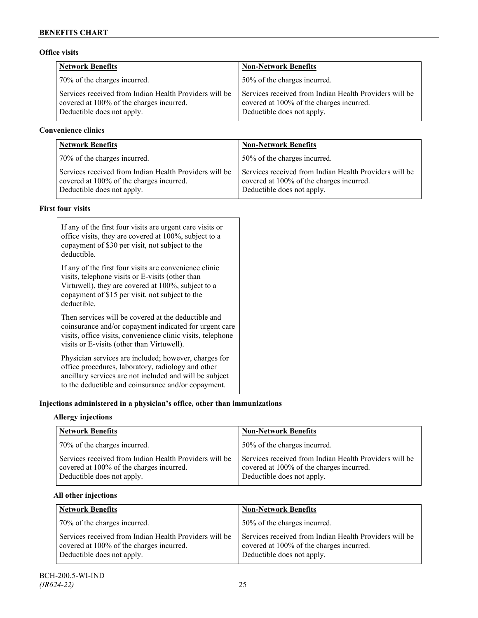# **Office visits**

| <b>Network Benefits</b>                                                                                                          | <b>Non-Network Benefits</b>                                                                                                      |
|----------------------------------------------------------------------------------------------------------------------------------|----------------------------------------------------------------------------------------------------------------------------------|
| 70% of the charges incurred.                                                                                                     | 50% of the charges incurred.                                                                                                     |
| Services received from Indian Health Providers will be<br>covered at 100% of the charges incurred.<br>Deductible does not apply. | Services received from Indian Health Providers will be<br>covered at 100% of the charges incurred.<br>Deductible does not apply. |

# **Convenience clinics**

| Network Benefits                                                                                                                 | <b>Non-Network Benefits</b>                                                                                                      |
|----------------------------------------------------------------------------------------------------------------------------------|----------------------------------------------------------------------------------------------------------------------------------|
| 70% of the charges incurred.                                                                                                     | 50% of the charges incurred.                                                                                                     |
| Services received from Indian Health Providers will be<br>covered at 100% of the charges incurred.<br>Deductible does not apply. | Services received from Indian Health Providers will be<br>covered at 100% of the charges incurred.<br>Deductible does not apply. |

# **First four visits**

| If any of the first four visits are urgent care visits or<br>office visits, they are covered at 100%, subject to a<br>copayment of \$30 per visit, not subject to the<br>deductible.                                               |
|------------------------------------------------------------------------------------------------------------------------------------------------------------------------------------------------------------------------------------|
| If any of the first four visits are convenience clinic<br>visits, telephone visits or E-visits (other than<br>Virtuwell), they are covered at 100%, subject to a<br>copayment of \$15 per visit, not subject to the<br>deductible. |
| Then services will be covered at the deductible and<br>coinsurance and/or copayment indicated for urgent care<br>visits, office visits, convenience clinic visits, telephone<br>visits or E-visits (other than Virtuwell).         |
| Physician services are included; however, charges for<br>office procedures, laboratory, radiology and other<br>ancillary services are not included and will be subject<br>to the deductible and coinsurance and/or copayment.      |

# **Injections administered in a physician's office, other than immunizations**

# **Allergy injections**

| <b>Network Benefits</b>                                                                                                          | <b>Non-Network Benefits</b>                                                                                                      |
|----------------------------------------------------------------------------------------------------------------------------------|----------------------------------------------------------------------------------------------------------------------------------|
| 70% of the charges incurred.                                                                                                     | 50% of the charges incurred.                                                                                                     |
| Services received from Indian Health Providers will be<br>covered at 100% of the charges incurred.<br>Deductible does not apply. | Services received from Indian Health Providers will be<br>covered at 100% of the charges incurred.<br>Deductible does not apply. |

# **All other injections**

| <b>Network Benefits</b>                                                                                                          | <b>Non-Network Benefits</b>                                                                                                      |
|----------------------------------------------------------------------------------------------------------------------------------|----------------------------------------------------------------------------------------------------------------------------------|
| 70% of the charges incurred.                                                                                                     | 50% of the charges incurred.                                                                                                     |
| Services received from Indian Health Providers will be<br>covered at 100% of the charges incurred.<br>Deductible does not apply. | Services received from Indian Health Providers will be<br>covered at 100% of the charges incurred.<br>Deductible does not apply. |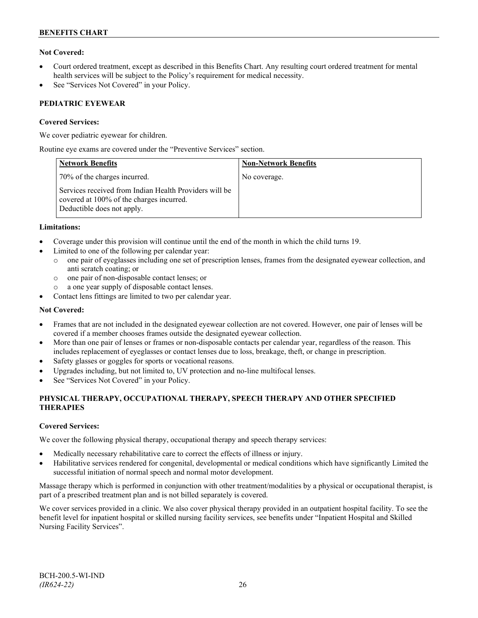# **Not Covered:**

- Court ordered treatment, except as described in this Benefits Chart. Any resulting court ordered treatment for mental health services will be subject to the Policy's requirement for medical necessity.
- See "Services Not Covered" in your Policy.

# **PEDIATRIC EYEWEAR**

# **Covered Services:**

We cover pediatric eyewear for children.

Routine eye exams are covered under the "Preventive Services" section.

| <b>Network Benefits</b>                                                                                                          | <b>Non-Network Benefits</b> |
|----------------------------------------------------------------------------------------------------------------------------------|-----------------------------|
| 70% of the charges incurred.                                                                                                     | No coverage.                |
| Services received from Indian Health Providers will be<br>covered at 100% of the charges incurred.<br>Deductible does not apply. |                             |

# **Limitations:**

- Coverage under this provision will continue until the end of the month in which the child turns 19.
- Limited to one of the following per calendar year:
	- o one pair of eyeglasses including one set of prescription lenses, frames from the designated eyewear collection, and anti scratch coating; or
	- o one pair of non-disposable contact lenses; or
	- a one year supply of disposable contact lenses.
- Contact lens fittings are limited to two per calendar year.

## **Not Covered:**

- Frames that are not included in the designated eyewear collection are not covered. However, one pair of lenses will be covered if a member chooses frames outside the designated eyewear collection.
- More than one pair of lenses or frames or non-disposable contacts per calendar year, regardless of the reason. This includes replacement of eyeglasses or contact lenses due to loss, breakage, theft, or change in prescription.
- Safety glasses or goggles for sports or vocational reasons.
- Upgrades including, but not limited to, UV protection and no-line multifocal lenses.
- See "Services Not Covered" in your Policy.

# **PHYSICAL THERAPY, OCCUPATIONAL THERAPY, SPEECH THERAPY AND OTHER SPECIFIED THERAPIES**

# **Covered Services:**

We cover the following physical therapy, occupational therapy and speech therapy services:

- Medically necessary rehabilitative care to correct the effects of illness or injury.
- Habilitative services rendered for congenital, developmental or medical conditions which have significantly Limited the successful initiation of normal speech and normal motor development.

Massage therapy which is performed in conjunction with other treatment/modalities by a physical or occupational therapist, is part of a prescribed treatment plan and is not billed separately is covered.

We cover services provided in a clinic. We also cover physical therapy provided in an outpatient hospital facility. To see the benefit level for inpatient hospital or skilled nursing facility services, see benefits under "Inpatient Hospital and Skilled Nursing Facility Services".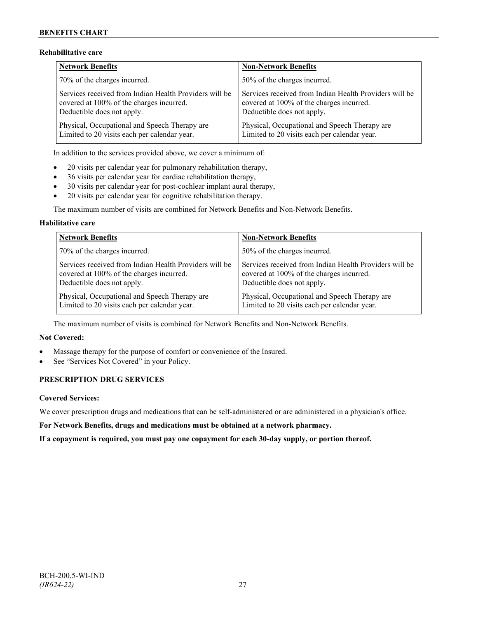# **Rehabilitative care**

| <b>Network Benefits</b>                                | <b>Non-Network Benefits</b>                            |
|--------------------------------------------------------|--------------------------------------------------------|
| 70% of the charges incurred.                           | 50% of the charges incurred.                           |
| Services received from Indian Health Providers will be | Services received from Indian Health Providers will be |
| covered at 100% of the charges incurred.               | covered at 100% of the charges incurred.               |
| Deductible does not apply.                             | Deductible does not apply.                             |
| Physical, Occupational and Speech Therapy are          | Physical, Occupational and Speech Therapy are          |
| Limited to 20 visits each per calendar year.           | Limited to 20 visits each per calendar year.           |

In addition to the services provided above, we cover a minimum of:

- 20 visits per calendar year for pulmonary rehabilitation therapy,
- 36 visits per calendar year for cardiac rehabilitation therapy,
- 30 visits per calendar year for post-cochlear implant aural therapy,
- 20 visits per calendar year for cognitive rehabilitation therapy.

The maximum number of visits are combined for Network Benefits and Non-Network Benefits.

# **Habilitative care**

| <b>Network Benefits</b>                                | <b>Non-Network Benefits</b>                            |
|--------------------------------------------------------|--------------------------------------------------------|
| 70% of the charges incurred.                           | 50% of the charges incurred.                           |
| Services received from Indian Health Providers will be | Services received from Indian Health Providers will be |
| covered at 100% of the charges incurred.               | covered at 100% of the charges incurred.               |
| Deductible does not apply.                             | Deductible does not apply.                             |
| Physical, Occupational and Speech Therapy are          | Physical, Occupational and Speech Therapy are          |
| Limited to 20 visits each per calendar year.           | Limited to 20 visits each per calendar year.           |

The maximum number of visits is combined for Network Benefits and Non-Network Benefits.

# **Not Covered:**

- Massage therapy for the purpose of comfort or convenience of the Insured.
- See "Services Not Covered" in your Policy.

# **PRESCRIPTION DRUG SERVICES**

# **Covered Services:**

We cover prescription drugs and medications that can be self-administered or are administered in a physician's office.

**For Network Benefits, drugs and medications must be obtained at a network pharmacy.**

**If a copayment is required, you must pay one copayment for each 30-day supply, or portion thereof.**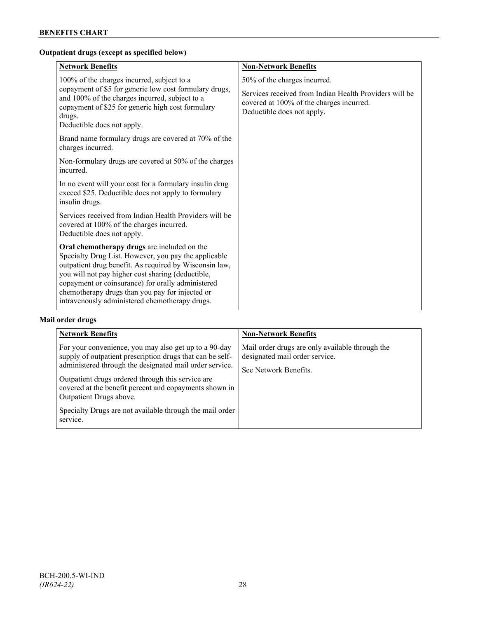# **Outpatient drugs (except as specified below)**

| <b>Network Benefits</b>                                                                                                                                                                                                                                                                                                                                                      | <b>Non-Network Benefits</b>                                                                                                                                      |
|------------------------------------------------------------------------------------------------------------------------------------------------------------------------------------------------------------------------------------------------------------------------------------------------------------------------------------------------------------------------------|------------------------------------------------------------------------------------------------------------------------------------------------------------------|
| 100% of the charges incurred, subject to a<br>copayment of \$5 for generic low cost formulary drugs,<br>and 100% of the charges incurred, subject to a<br>copayment of \$25 for generic high cost formulary<br>drugs.<br>Deductible does not apply.                                                                                                                          | 50% of the charges incurred.<br>Services received from Indian Health Providers will be<br>covered at 100% of the charges incurred.<br>Deductible does not apply. |
| Brand name formulary drugs are covered at 70% of the<br>charges incurred.                                                                                                                                                                                                                                                                                                    |                                                                                                                                                                  |
| Non-formulary drugs are covered at 50% of the charges<br>incurred.                                                                                                                                                                                                                                                                                                           |                                                                                                                                                                  |
| In no event will your cost for a formulary insulin drug<br>exceed \$25. Deductible does not apply to formulary<br>insulin drugs.                                                                                                                                                                                                                                             |                                                                                                                                                                  |
| Services received from Indian Health Providers will be<br>covered at 100% of the charges incurred.<br>Deductible does not apply.                                                                                                                                                                                                                                             |                                                                                                                                                                  |
| Oral chemotherapy drugs are included on the<br>Specialty Drug List. However, you pay the applicable<br>outpatient drug benefit. As required by Wisconsin law,<br>you will not pay higher cost sharing (deductible,<br>copayment or coinsurance) for orally administered<br>chemotherapy drugs than you pay for injected or<br>intravenously administered chemotherapy drugs. |                                                                                                                                                                  |

# **Mail order drugs**

| <b>Network Benefits</b>                                                                                                                                                                                                                                                                                                                                                                         | <b>Non-Network Benefits</b>                                                                                |
|-------------------------------------------------------------------------------------------------------------------------------------------------------------------------------------------------------------------------------------------------------------------------------------------------------------------------------------------------------------------------------------------------|------------------------------------------------------------------------------------------------------------|
| For your convenience, you may also get up to a 90-day<br>supply of outpatient prescription drugs that can be self-<br>administered through the designated mail order service.<br>Outpatient drugs ordered through this service are<br>covered at the benefit percent and copayments shown in<br>Outpatient Drugs above.<br>Specialty Drugs are not available through the mail order<br>service. | Mail order drugs are only available through the<br>designated mail order service.<br>See Network Benefits. |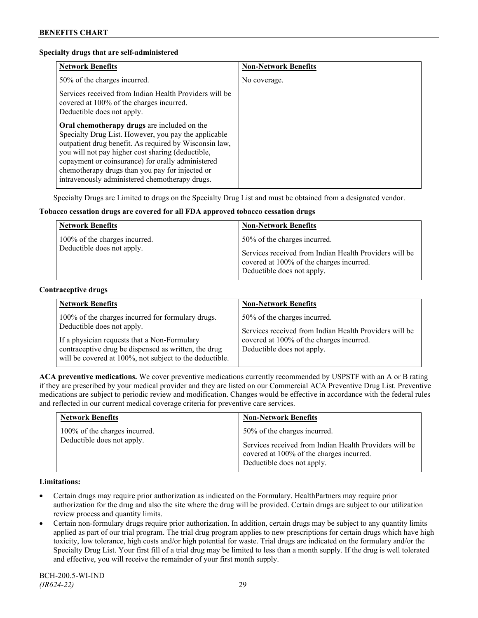## **Specialty drugs that are self-administered**

| <b>Network Benefits</b>                                                                                                                                                                                                                                                                                                                                                      | <b>Non-Network Benefits</b> |
|------------------------------------------------------------------------------------------------------------------------------------------------------------------------------------------------------------------------------------------------------------------------------------------------------------------------------------------------------------------------------|-----------------------------|
| 50% of the charges incurred.                                                                                                                                                                                                                                                                                                                                                 | No coverage.                |
| Services received from Indian Health Providers will be<br>covered at 100% of the charges incurred.<br>Deductible does not apply.                                                                                                                                                                                                                                             |                             |
| Oral chemotherapy drugs are included on the<br>Specialty Drug List. However, you pay the applicable<br>outpatient drug benefit. As required by Wisconsin law,<br>you will not pay higher cost sharing (deductible,<br>copayment or coinsurance) for orally administered<br>chemotherapy drugs than you pay for injected or<br>intravenously administered chemotherapy drugs. |                             |

Specialty Drugs are Limited to drugs on the Specialty Drug List and must be obtained from a designated vendor.

# **Tobacco cessation drugs are covered for all FDA approved tobacco cessation drugs**

| <b>Network Benefits</b>                                     | <b>Non-Network Benefits</b>                                                                                                                                      |
|-------------------------------------------------------------|------------------------------------------------------------------------------------------------------------------------------------------------------------------|
| 100% of the charges incurred.<br>Deductible does not apply. | 50% of the charges incurred.<br>Services received from Indian Health Providers will be<br>covered at 100% of the charges incurred.<br>Deductible does not apply. |

#### **Contraceptive drugs**

| <b>Network Benefits</b>                                                                                                                                                                                                                            | <b>Non-Network Benefits</b>                                                                                                                                      |
|----------------------------------------------------------------------------------------------------------------------------------------------------------------------------------------------------------------------------------------------------|------------------------------------------------------------------------------------------------------------------------------------------------------------------|
| 100% of the charges incurred for formulary drugs.<br>Deductible does not apply.<br>If a physician requests that a Non-Formulary<br>contraceptive drug be dispensed as written, the drug<br>will be covered at 100%, not subject to the deductible. | 50% of the charges incurred.<br>Services received from Indian Health Providers will be<br>covered at 100% of the charges incurred.<br>Deductible does not apply. |

**ACA preventive medications.** We cover preventive medications currently recommended by USPSTF with an A or B rating if they are prescribed by your medical provider and they are listed on our Commercial ACA Preventive Drug List. Preventive medications are subject to periodic review and modification. Changes would be effective in accordance with the federal rules and reflected in our current medical coverage criteria for preventive care services.

| <b>Network Benefits</b>       | <b>Non-Network Benefits</b>                                                                                                      |
|-------------------------------|----------------------------------------------------------------------------------------------------------------------------------|
| 100% of the charges incurred. | 50% of the charges incurred.                                                                                                     |
| Deductible does not apply.    | Services received from Indian Health Providers will be<br>covered at 100% of the charges incurred.<br>Deductible does not apply. |

## **Limitations:**

- Certain drugs may require prior authorization as indicated on the Formulary. HealthPartners may require prior authorization for the drug and also the site where the drug will be provided. Certain drugs are subject to our utilization review process and quantity limits.
- Certain non-formulary drugs require prior authorization. In addition, certain drugs may be subject to any quantity limits applied as part of our trial program. The trial drug program applies to new prescriptions for certain drugs which have high toxicity, low tolerance, high costs and/or high potential for waste. Trial drugs are indicated on the formulary and/or the Specialty Drug List. Your first fill of a trial drug may be limited to less than a month supply. If the drug is well tolerated and effective, you will receive the remainder of your first month supply.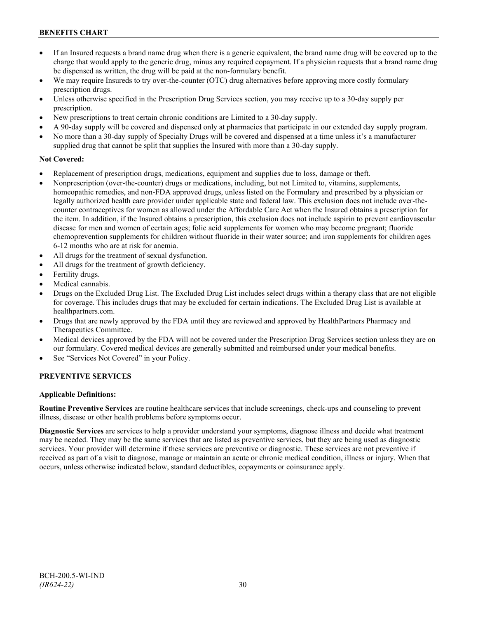- If an Insured requests a brand name drug when there is a generic equivalent, the brand name drug will be covered up to the charge that would apply to the generic drug, minus any required copayment. If a physician requests that a brand name drug be dispensed as written, the drug will be paid at the non-formulary benefit.
- We may require Insureds to try over-the-counter (OTC) drug alternatives before approving more costly formulary prescription drugs.
- Unless otherwise specified in the Prescription Drug Services section, you may receive up to a 30-day supply per prescription.
- New prescriptions to treat certain chronic conditions are Limited to a 30-day supply.
- A 90-day supply will be covered and dispensed only at pharmacies that participate in our extended day supply program.
- No more than a 30-day supply of Specialty Drugs will be covered and dispensed at a time unless it's a manufacturer supplied drug that cannot be split that supplies the Insured with more than a 30-day supply.

# **Not Covered:**

- Replacement of prescription drugs, medications, equipment and supplies due to loss, damage or theft.
- Nonprescription (over-the-counter) drugs or medications, including, but not Limited to, vitamins, supplements, homeopathic remedies, and non-FDA approved drugs, unless listed on the Formulary and prescribed by a physician or legally authorized health care provider under applicable state and federal law. This exclusion does not include over-thecounter contraceptives for women as allowed under the Affordable Care Act when the Insured obtains a prescription for the item. In addition, if the Insured obtains a prescription, this exclusion does not include aspirin to prevent cardiovascular disease for men and women of certain ages; folic acid supplements for women who may become pregnant; fluoride chemoprevention supplements for children without fluoride in their water source; and iron supplements for children ages 6-12 months who are at risk for anemia.
- All drugs for the treatment of sexual dysfunction.
- All drugs for the treatment of growth deficiency.
- Fertility drugs.
- Medical cannabis.
- Drugs on the Excluded Drug List. The Excluded Drug List includes select drugs within a therapy class that are not eligible for coverage. This includes drugs that may be excluded for certain indications. The Excluded Drug List is available at [healthpartners.com.](http://www.healthpartners.com/)
- Drugs that are newly approved by the FDA until they are reviewed and approved by HealthPartners Pharmacy and Therapeutics Committee.
- Medical devices approved by the FDA will not be covered under the Prescription Drug Services section unless they are on our formulary. Covered medical devices are generally submitted and reimbursed under your medical benefits.
- See "Services Not Covered" in your Policy.

# **PREVENTIVE SERVICES**

# **Applicable Definitions:**

**Routine Preventive Services** are routine healthcare services that include screenings, check-ups and counseling to prevent illness, disease or other health problems before symptoms occur.

**Diagnostic Services** are services to help a provider understand your symptoms, diagnose illness and decide what treatment may be needed. They may be the same services that are listed as preventive services, but they are being used as diagnostic services. Your provider will determine if these services are preventive or diagnostic. These services are not preventive if received as part of a visit to diagnose, manage or maintain an acute or chronic medical condition, illness or injury. When that occurs, unless otherwise indicated below, standard deductibles, copayments or coinsurance apply.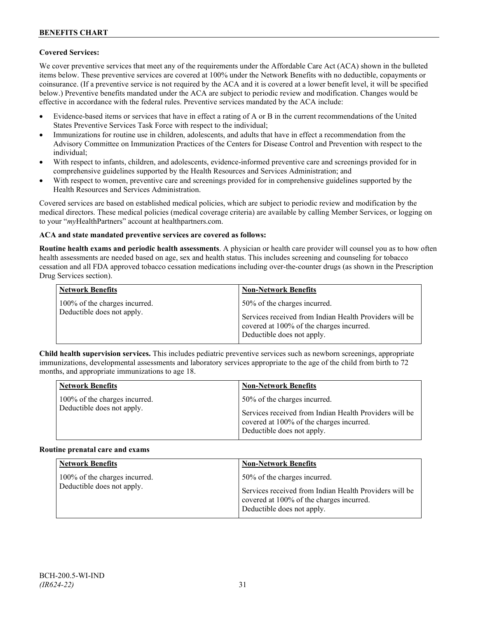# **Covered Services:**

We cover preventive services that meet any of the requirements under the Affordable Care Act (ACA) shown in the bulleted items below. These preventive services are covered at 100% under the Network Benefits with no deductible, copayments or coinsurance. (If a preventive service is not required by the ACA and it is covered at a lower benefit level, it will be specified below.) Preventive benefits mandated under the ACA are subject to periodic review and modification. Changes would be effective in accordance with the federal rules. Preventive services mandated by the ACA include:

- Evidence-based items or services that have in effect a rating of A or B in the current recommendations of the United States Preventive Services Task Force with respect to the individual;
- Immunizations for routine use in children, adolescents, and adults that have in effect a recommendation from the Advisory Committee on Immunization Practices of the Centers for Disease Control and Prevention with respect to the individual;
- With respect to infants, children, and adolescents, evidence-informed preventive care and screenings provided for in comprehensive guidelines supported by the Health Resources and Services Administration; and
- With respect to women, preventive care and screenings provided for in comprehensive guidelines supported by the Health Resources and Services Administration.

Covered services are based on established medical policies, which are subject to periodic review and modification by the medical directors. These medical policies (medical coverage criteria) are available by calling Member Services, or logging on to your "*my*HealthPartners" account at [healthpartners.com.](http://www.healthpartners.com/)

# **ACA and state mandated preventive services are covered as follows:**

**Routine health exams and periodic health assessments**. A physician or health care provider will counsel you as to how often health assessments are needed based on age, sex and health status. This includes screening and counseling for tobacco cessation and all FDA approved tobacco cessation medications including over-the-counter drugs (as shown in the Prescription Drug Services section).

| <b>Network Benefits</b>                                     | <b>Non-Network Benefits</b>                                                                                                                                      |
|-------------------------------------------------------------|------------------------------------------------------------------------------------------------------------------------------------------------------------------|
| 100% of the charges incurred.<br>Deductible does not apply. | 50% of the charges incurred.<br>Services received from Indian Health Providers will be<br>covered at 100% of the charges incurred.<br>Deductible does not apply. |

**Child health supervision services.** This includes pediatric preventive services such as newborn screenings, appropriate immunizations, developmental assessments and laboratory services appropriate to the age of the child from birth to 72 months, and appropriate immunizations to age 18.

| <b>Network Benefits</b>       | <b>Non-Network Benefits</b>                                                                                                      |
|-------------------------------|----------------------------------------------------------------------------------------------------------------------------------|
| 100% of the charges incurred. | 50% of the charges incurred.                                                                                                     |
| Deductible does not apply.    | Services received from Indian Health Providers will be<br>covered at 100% of the charges incurred.<br>Deductible does not apply. |

#### **Routine prenatal care and exams**

| <b>Network Benefits</b>                                     | <b>Non-Network Benefits</b>                                                                                                                                      |
|-------------------------------------------------------------|------------------------------------------------------------------------------------------------------------------------------------------------------------------|
| 100% of the charges incurred.<br>Deductible does not apply. | 50% of the charges incurred.<br>Services received from Indian Health Providers will be<br>covered at 100% of the charges incurred.<br>Deductible does not apply. |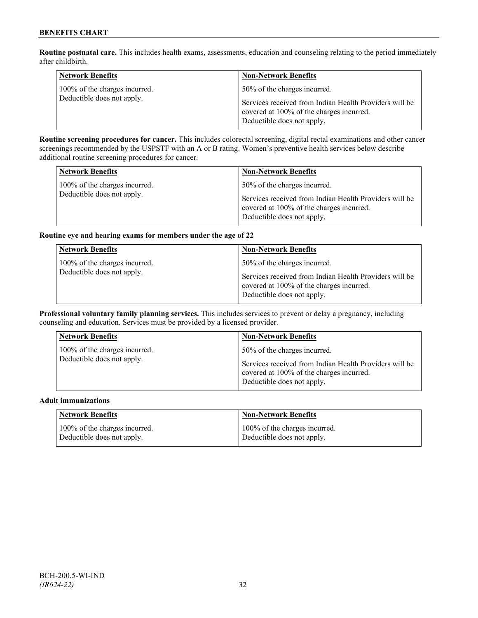**Routine postnatal care.** This includes health exams, assessments, education and counseling relating to the period immediately after childbirth.

| <b>Network Benefits</b>                                     | <b>Non-Network Benefits</b>                                                                                                      |
|-------------------------------------------------------------|----------------------------------------------------------------------------------------------------------------------------------|
| 100% of the charges incurred.<br>Deductible does not apply. | 50% of the charges incurred.                                                                                                     |
|                                                             | Services received from Indian Health Providers will be<br>covered at 100% of the charges incurred.<br>Deductible does not apply. |

**Routine screening procedures for cancer.** This includes colorectal screening, digital rectal examinations and other cancer screenings recommended by the USPSTF with an A or B rating. Women's preventive health services below describe additional routine screening procedures for cancer.

| <b>Network Benefits</b>                                     | <b>Non-Network Benefits</b>                                                            |
|-------------------------------------------------------------|----------------------------------------------------------------------------------------|
| 100% of the charges incurred.<br>Deductible does not apply. | 50% of the charges incurred.<br>Services received from Indian Health Providers will be |
|                                                             | covered at 100% of the charges incurred.<br>Deductible does not apply.                 |

# **Routine eye and hearing exams for members under the age of 22**

| <b>Network Benefits</b>                                     | <b>Non-Network Benefits</b>                                                                                                                                      |
|-------------------------------------------------------------|------------------------------------------------------------------------------------------------------------------------------------------------------------------|
| 100% of the charges incurred.<br>Deductible does not apply. | 50% of the charges incurred.<br>Services received from Indian Health Providers will be<br>covered at 100% of the charges incurred.<br>Deductible does not apply. |

**Professional voluntary family planning services.** This includes services to prevent or delay a pregnancy, including counseling and education. Services must be provided by a licensed provider.

| 50% of the charges incurred.<br>100% of the charges incurred.<br>Deductible does not apply.<br>Services received from Indian Health Providers will be<br>covered at 100% of the charges incurred.<br>Deductible does not apply. |  |
|---------------------------------------------------------------------------------------------------------------------------------------------------------------------------------------------------------------------------------|--|

#### **Adult immunizations**

| Network Benefits              | <b>Non-Network Benefits</b>   |
|-------------------------------|-------------------------------|
| 100% of the charges incurred. | 100% of the charges incurred. |
| Deductible does not apply.    | Deductible does not apply.    |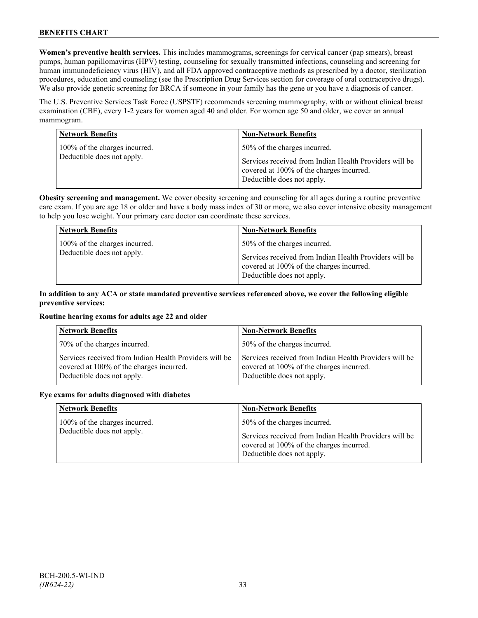**Women's preventive health services.** This includes mammograms, screenings for cervical cancer (pap smears), breast pumps, human papillomavirus (HPV) testing, counseling for sexually transmitted infections, counseling and screening for human immunodeficiency virus (HIV), and all FDA approved contraceptive methods as prescribed by a doctor, sterilization procedures, education and counseling (see the Prescription Drug Services section for coverage of oral contraceptive drugs). We also provide genetic screening for BRCA if someone in your family has the gene or you have a diagnosis of cancer.

The U.S. Preventive Services Task Force (USPSTF) recommends screening mammography, with or without clinical breast examination (CBE), every 1-2 years for women aged 40 and older. For women age 50 and older, we cover an annual mammogram.

| <b>Network Benefits</b>                                     | <b>Non-Network Benefits</b>                                                                                                                                      |
|-------------------------------------------------------------|------------------------------------------------------------------------------------------------------------------------------------------------------------------|
| 100% of the charges incurred.<br>Deductible does not apply. | 50% of the charges incurred.<br>Services received from Indian Health Providers will be<br>covered at 100% of the charges incurred.<br>Deductible does not apply. |

**Obesity screening and management.** We cover obesity screening and counseling for all ages during a routine preventive care exam. If you are age 18 or older and have a body mass index of 30 or more, we also cover intensive obesity management to help you lose weight. Your primary care doctor can coordinate these services.

| <b>Network Benefits</b>       | <b>Non-Network Benefits</b>                                                                                                      |
|-------------------------------|----------------------------------------------------------------------------------------------------------------------------------|
| 100% of the charges incurred. | 50% of the charges incurred.                                                                                                     |
| Deductible does not apply.    | Services received from Indian Health Providers will be<br>covered at 100% of the charges incurred.<br>Deductible does not apply. |

# **In addition to any ACA or state mandated preventive services referenced above, we cover the following eligible preventive services:**

# **Routine hearing exams for adults age 22 and older**

| <b>Network Benefits</b>                                                                                                          | <b>Non-Network Benefits</b>                                                                                                      |
|----------------------------------------------------------------------------------------------------------------------------------|----------------------------------------------------------------------------------------------------------------------------------|
| 70% of the charges incurred.                                                                                                     | 50% of the charges incurred.                                                                                                     |
| Services received from Indian Health Providers will be<br>covered at 100% of the charges incurred.<br>Deductible does not apply. | Services received from Indian Health Providers will be<br>covered at 100% of the charges incurred.<br>Deductible does not apply. |

#### **Eye exams for adults diagnosed with diabetes**

| <b>Network Benefits</b>                                     | <b>Non-Network Benefits</b>                                                                                                                                      |
|-------------------------------------------------------------|------------------------------------------------------------------------------------------------------------------------------------------------------------------|
| 100% of the charges incurred.<br>Deductible does not apply. | 50% of the charges incurred.<br>Services received from Indian Health Providers will be<br>covered at 100% of the charges incurred.<br>Deductible does not apply. |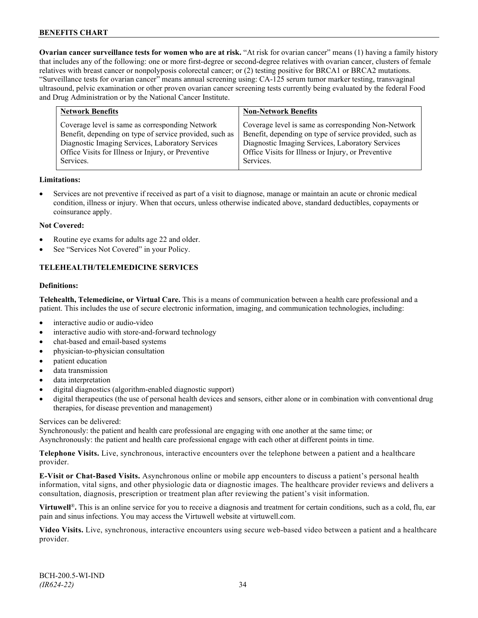**Ovarian cancer surveillance tests for women who are at risk.** "At risk for ovarian cancer" means (1) having a family history that includes any of the following: one or more first-degree or second-degree relatives with ovarian cancer, clusters of female relatives with breast cancer or nonpolyposis colorectal cancer; or (2) testing positive for BRCA1 or BRCA2 mutations. "Surveillance tests for ovarian cancer" means annual screening using: CA-125 serum tumor marker testing, transvaginal ultrasound, pelvic examination or other proven ovarian cancer screening tests currently being evaluated by the federal Food and Drug Administration or by the National Cancer Institute.

| <b>Network Benefits</b>                                                                                                                                                                                                           | <b>Non-Network Benefits</b>                                                                                                                                                                                                           |
|-----------------------------------------------------------------------------------------------------------------------------------------------------------------------------------------------------------------------------------|---------------------------------------------------------------------------------------------------------------------------------------------------------------------------------------------------------------------------------------|
| Coverage level is same as corresponding Network<br>Benefit, depending on type of service provided, such as<br>Diagnostic Imaging Services, Laboratory Services<br>Office Visits for Illness or Injury, or Preventive<br>Services. | Coverage level is same as corresponding Non-Network<br>Benefit, depending on type of service provided, such as<br>Diagnostic Imaging Services, Laboratory Services<br>Office Visits for Illness or Injury, or Preventive<br>Services. |
|                                                                                                                                                                                                                                   |                                                                                                                                                                                                                                       |

# **Limitations:**

• Services are not preventive if received as part of a visit to diagnose, manage or maintain an acute or chronic medical condition, illness or injury. When that occurs, unless otherwise indicated above, standard deductibles, copayments or coinsurance apply.

# **Not Covered:**

- Routine eye exams for adults age 22 and older.
- See "Services Not Covered" in your Policy.

# **TELEHEALTH/TELEMEDICINE SERVICES**

#### **Definitions:**

**Telehealth, Telemedicine, or Virtual Care.** This is a means of communication between a health care professional and a patient. This includes the use of secure electronic information, imaging, and communication technologies, including:

- interactive audio or audio-video
- interactive audio with store-and-forward technology
- chat-based and email-based systems
- physician-to-physician consultation
- patient education
- data transmission
- data interpretation
- digital diagnostics (algorithm-enabled diagnostic support)
- digital therapeutics (the use of personal health devices and sensors, either alone or in combination with conventional drug therapies, for disease prevention and management)

#### Services can be delivered:

Synchronously: the patient and health care professional are engaging with one another at the same time; or Asynchronously: the patient and health care professional engage with each other at different points in time.

**Telephone Visits.** Live, synchronous, interactive encounters over the telephone between a patient and a healthcare provider.

**E-Visit or Chat-Based Visits.** Asynchronous online or mobile app encounters to discuss a patient's personal health information, vital signs, and other physiologic data or diagnostic images. The healthcare provider reviews and delivers a consultation, diagnosis, prescription or treatment plan after reviewing the patient's visit information.

**Virtuwell<sup>®</sup>.** This is an online service for you to receive a diagnosis and treatment for certain conditions, such as a cold, flu, ear pain and sinus infections. You may access the Virtuwell website at [virtuwell.com.](https://www.virtuwell.com/)

**Video Visits.** Live, synchronous, interactive encounters using secure web-based video between a patient and a healthcare provider.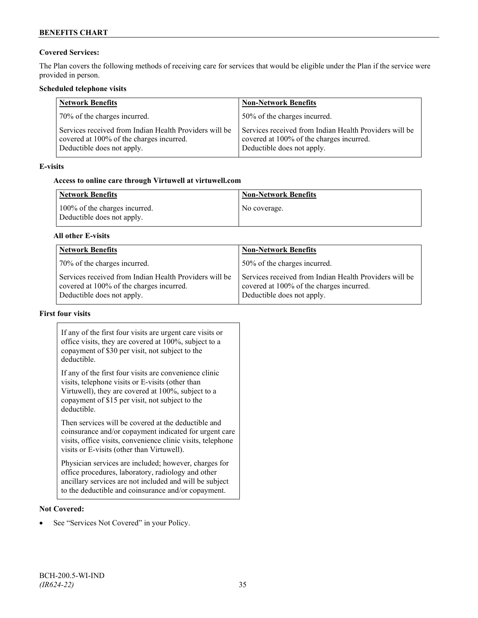# **Covered Services:**

The Plan covers the following methods of receiving care for services that would be eligible under the Plan if the service were provided in person.

# **Scheduled telephone visits**

| <b>Network Benefits</b>                                                                                                          | <b>Non-Network Benefits</b>                                                                                                      |
|----------------------------------------------------------------------------------------------------------------------------------|----------------------------------------------------------------------------------------------------------------------------------|
| 70% of the charges incurred.                                                                                                     | 50% of the charges incurred.                                                                                                     |
| Services received from Indian Health Providers will be<br>covered at 100% of the charges incurred.<br>Deductible does not apply. | Services received from Indian Health Providers will be<br>covered at 100% of the charges incurred.<br>Deductible does not apply. |

# **E-visits**

# **Access to online care through Virtuwell at [virtuwell.com](http://www.virtuwell.com/)**

| Network Benefits                                            | <b>Non-Network Benefits</b> |
|-------------------------------------------------------------|-----------------------------|
| 100% of the charges incurred.<br>Deductible does not apply. | No coverage.                |

# **All other E-visits**

| <b>Network Benefits</b>                                                                                                          | <b>Non-Network Benefits</b>                                                                                                      |
|----------------------------------------------------------------------------------------------------------------------------------|----------------------------------------------------------------------------------------------------------------------------------|
| 70% of the charges incurred.                                                                                                     | 50% of the charges incurred.                                                                                                     |
| Services received from Indian Health Providers will be<br>covered at 100% of the charges incurred.<br>Deductible does not apply. | Services received from Indian Health Providers will be<br>covered at 100% of the charges incurred.<br>Deductible does not apply. |

# **First four visits**

| If any of the first four visits are urgent care visits or<br>office visits, they are covered at 100%, subject to a<br>copayment of \$30 per visit, not subject to the<br>deductible.                                               |  |
|------------------------------------------------------------------------------------------------------------------------------------------------------------------------------------------------------------------------------------|--|
| If any of the first four visits are convenience clinic<br>visits, telephone visits or E-visits (other than<br>Virtuwell), they are covered at 100%, subject to a<br>copayment of \$15 per visit, not subject to the<br>deductible. |  |
| Then services will be covered at the deductible and<br>coinsurance and/or copayment indicated for urgent care<br>visits, office visits, convenience clinic visits, telephone<br>visits or E-visits (other than Virtuwell).         |  |
| Physician services are included; however, charges for<br>office procedures, laboratory, radiology and other<br>ancillary services are not included and will be subject<br>to the deductible and coinsurance and/or copayment.      |  |

# **Not Covered:**

• See "Services Not Covered" in your Policy.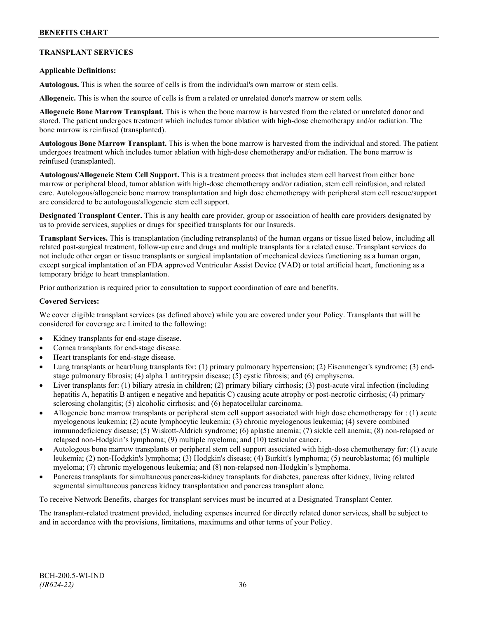# **TRANSPLANT SERVICES**

# **Applicable Definitions:**

**Autologous.** This is when the source of cells is from the individual's own marrow or stem cells.

**Allogeneic.** This is when the source of cells is from a related or unrelated donor's marrow or stem cells.

**Allogeneic Bone Marrow Transplant.** This is when the bone marrow is harvested from the related or unrelated donor and stored. The patient undergoes treatment which includes tumor ablation with high-dose chemotherapy and/or radiation. The bone marrow is reinfused (transplanted).

**Autologous Bone Marrow Transplant.** This is when the bone marrow is harvested from the individual and stored. The patient undergoes treatment which includes tumor ablation with high-dose chemotherapy and/or radiation. The bone marrow is reinfused (transplanted).

**Autologous/Allogeneic Stem Cell Support.** This is a treatment process that includes stem cell harvest from either bone marrow or peripheral blood, tumor ablation with high-dose chemotherapy and/or radiation, stem cell reinfusion, and related care. Autologous/allogeneic bone marrow transplantation and high dose chemotherapy with peripheral stem cell rescue/support are considered to be autologous/allogeneic stem cell support.

**Designated Transplant Center.** This is any health care provider, group or association of health care providers designated by us to provide services, supplies or drugs for specified transplants for our Insureds.

**Transplant Services.** This is transplantation (including retransplants) of the human organs or tissue listed below, including all related post-surgical treatment, follow-up care and drugs and multiple transplants for a related cause. Transplant services do not include other organ or tissue transplants or surgical implantation of mechanical devices functioning as a human organ, except surgical implantation of an FDA approved Ventricular Assist Device (VAD) or total artificial heart, functioning as a temporary bridge to heart transplantation.

Prior authorization is required prior to consultation to support coordination of care and benefits.

## **Covered Services:**

We cover eligible transplant services (as defined above) while you are covered under your Policy. Transplants that will be considered for coverage are Limited to the following:

- Kidney transplants for end-stage disease.
- Cornea transplants for end-stage disease.
- Heart transplants for end-stage disease.
- Lung transplants or heart/lung transplants for: (1) primary pulmonary hypertension; (2) Eisenmenger's syndrome; (3) endstage pulmonary fibrosis; (4) alpha 1 antitrypsin disease; (5) cystic fibrosis; and (6) emphysema.
- Liver transplants for: (1) biliary atresia in children; (2) primary biliary cirrhosis; (3) post-acute viral infection (including hepatitis A, hepatitis B antigen e negative and hepatitis C) causing acute atrophy or post-necrotic cirrhosis; (4) primary sclerosing cholangitis; (5) alcoholic cirrhosis; and (6) hepatocellular carcinoma.
- Allogeneic bone marrow transplants or peripheral stem cell support associated with high dose chemotherapy for : (1) acute myelogenous leukemia; (2) acute lymphocytic leukemia; (3) chronic myelogenous leukemia; (4) severe combined immunodeficiency disease; (5) Wiskott-Aldrich syndrome; (6) aplastic anemia; (7) sickle cell anemia; (8) non-relapsed or relapsed non-Hodgkin's lymphoma; (9) multiple myeloma; and (10) testicular cancer.
- Autologous bone marrow transplants or peripheral stem cell support associated with high-dose chemotherapy for: (1) acute leukemia; (2) non-Hodgkin's lymphoma; (3) Hodgkin's disease; (4) Burkitt's lymphoma; (5) neuroblastoma; (6) multiple myeloma; (7) chronic myelogenous leukemia; and (8) non-relapsed non-Hodgkin's lymphoma.
- Pancreas transplants for simultaneous pancreas-kidney transplants for diabetes, pancreas after kidney, living related segmental simultaneous pancreas kidney transplantation and pancreas transplant alone.

To receive Network Benefits, charges for transplant services must be incurred at a Designated Transplant Center.

The transplant-related treatment provided, including expenses incurred for directly related donor services, shall be subject to and in accordance with the provisions, limitations, maximums and other terms of your Policy.